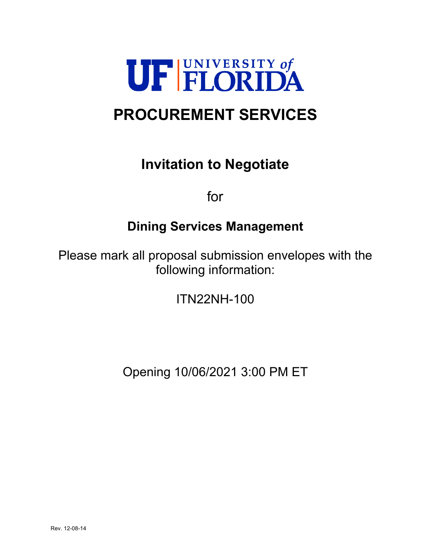

# **PROCUREMENT SERVICES**

## **Invitation to Negotiate**

for

## **Dining Services Management**

Please mark all proposal submission envelopes with the following information:

ITN22NH-100

Opening 10/06/2021 3:00 PM ET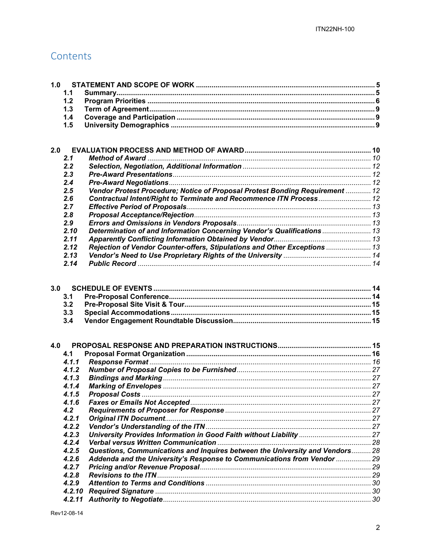## Contents

| 1.0 |                |                                                                              |  |  |
|-----|----------------|------------------------------------------------------------------------------|--|--|
|     | 1.1            |                                                                              |  |  |
|     | 1.2            |                                                                              |  |  |
|     | 1.3            |                                                                              |  |  |
|     | 1.4            |                                                                              |  |  |
|     | 1.5            |                                                                              |  |  |
|     |                |                                                                              |  |  |
| 2.0 |                |                                                                              |  |  |
|     | 2.1            |                                                                              |  |  |
|     | 2.2            |                                                                              |  |  |
|     | 2.3            |                                                                              |  |  |
|     | 2.4            |                                                                              |  |  |
|     | 2.5            | Vendor Protest Procedure; Notice of Proposal Protest Bonding Requirement  12 |  |  |
|     | 2.6            | Contractual Intent/Right to Terminate and Recommence ITN Process 12          |  |  |
|     | 2.7            |                                                                              |  |  |
|     | 2.8            |                                                                              |  |  |
|     | 2.9            |                                                                              |  |  |
|     | 2.10           | Determination of and Information Concerning Vendor's Qualifications  13      |  |  |
|     | 2.11           |                                                                              |  |  |
|     | 2.12           | Rejection of Vendor Counter-offers, Stipulations and Other Exceptions  13    |  |  |
|     | 2.13           |                                                                              |  |  |
|     | 2.14           |                                                                              |  |  |
|     |                |                                                                              |  |  |
| 3.0 |                |                                                                              |  |  |
|     | 3.1            |                                                                              |  |  |
|     | 3.2            |                                                                              |  |  |
|     | 3.3            |                                                                              |  |  |
|     | 3.4            |                                                                              |  |  |
|     |                |                                                                              |  |  |
| 4.0 |                |                                                                              |  |  |
|     |                |                                                                              |  |  |
|     | 4.1<br>4.1.1   |                                                                              |  |  |
|     |                |                                                                              |  |  |
|     | 4.1.2<br>4.1.3 |                                                                              |  |  |
|     | 4.1.4          |                                                                              |  |  |
|     | 4.1.5          |                                                                              |  |  |
|     | 4.1.6          |                                                                              |  |  |
|     | 4.2            |                                                                              |  |  |
|     | 4.2.1          |                                                                              |  |  |
|     | 4.2.2          |                                                                              |  |  |
|     | 4.2.3          |                                                                              |  |  |
|     | 4.2.4          |                                                                              |  |  |
|     | 4.2.5          | Questions, Communications and Inquires between the University and Vendors 28 |  |  |
|     | 4.2.6          | Addenda and the University's Response to Communications from Vendor  29      |  |  |
|     | 4.2.7          |                                                                              |  |  |
|     | 4.2.8          |                                                                              |  |  |
|     | 4.2.9          |                                                                              |  |  |
|     | 4.2.10         |                                                                              |  |  |
|     | 4.2.11         |                                                                              |  |  |
|     |                |                                                                              |  |  |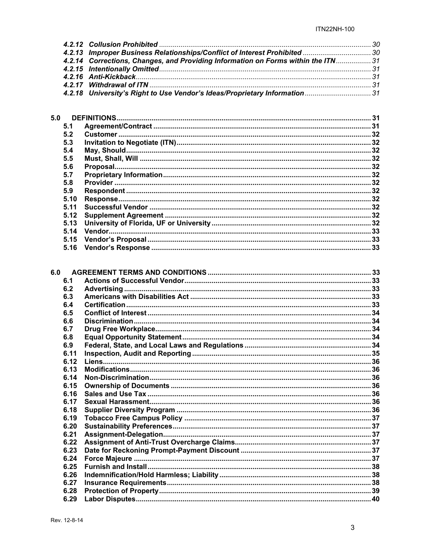| 4.2.13 Improper Business Relationships/Conflict of Interest Prohibited  30        |  |
|-----------------------------------------------------------------------------------|--|
| 4.2.14 Corrections, Changes, and Providing Information on Forms within the ITN 31 |  |
|                                                                                   |  |
|                                                                                   |  |
|                                                                                   |  |
| 4.2.18 University's Right to Use Vendor's Ideas/Proprietary Information 31        |  |
|                                                                                   |  |

| 5.0  |  |
|------|--|
| 5.1  |  |
| 5.2  |  |
| 5.3  |  |
| 5.4  |  |
| 5.5  |  |
| 5.6  |  |
| 5.7  |  |
| 5.8  |  |
| 5.9  |  |
| 5.10 |  |
| 5.11 |  |
| 5.12 |  |
| 5.13 |  |
| 5.14 |  |
| 5.15 |  |
| 5.16 |  |
|      |  |

| 6.1  |  |
|------|--|
| 6.2  |  |
| 6.3  |  |
| 6.4  |  |
| 6.5  |  |
| 6.6  |  |
| 6.7  |  |
| 6.8  |  |
| 6.9  |  |
| 6.11 |  |
| 6.12 |  |
| 6.13 |  |
| 6.14 |  |
| 6.15 |  |
| 6.16 |  |
| 6.17 |  |
| 6.18 |  |
| 6.19 |  |
| 6.20 |  |
| 6.21 |  |
| 6.22 |  |
| 6.23 |  |
| 6.24 |  |
| 6.25 |  |
| 6.26 |  |
| 6.27 |  |
| 6.28 |  |
| 6.29 |  |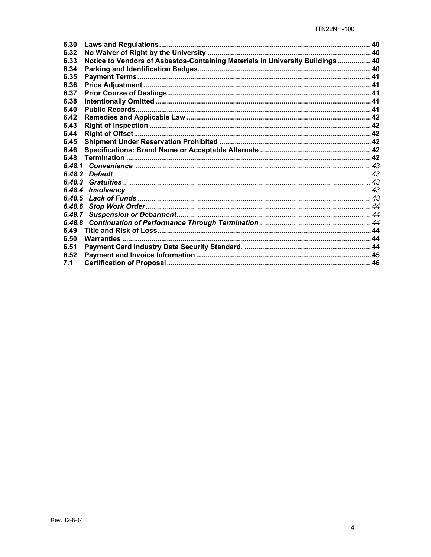| 6.30                                                                                   |  |
|----------------------------------------------------------------------------------------|--|
| 6.32                                                                                   |  |
| Notice to Vendors of Asbestos-Containing Materials in University Buildings  40<br>6.33 |  |
| 6.34                                                                                   |  |
| 6.35                                                                                   |  |
| 6.36                                                                                   |  |
| 6.37                                                                                   |  |
| 6.38                                                                                   |  |
| 6.40                                                                                   |  |
| 6.42                                                                                   |  |
| 6.43                                                                                   |  |
| 6.44                                                                                   |  |
| 6.45                                                                                   |  |
| 6.46                                                                                   |  |
| 6.48                                                                                   |  |
|                                                                                        |  |
|                                                                                        |  |
|                                                                                        |  |
|                                                                                        |  |
|                                                                                        |  |
| 6.48.6                                                                                 |  |
|                                                                                        |  |
| 6.48.8                                                                                 |  |
| 6.49                                                                                   |  |
| 6.50                                                                                   |  |
| 6.51                                                                                   |  |
| 6.52                                                                                   |  |
| 7.1                                                                                    |  |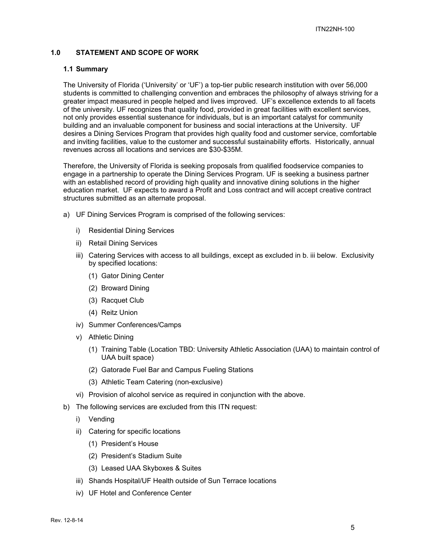## **1.0 STATEMENT AND SCOPE OF WORK**

#### **1.1 Summary**

The University of Florida ('University' or 'UF') a top-tier public research institution with over 56,000 students is committed to challenging convention and embraces the philosophy of always striving for a greater impact measured in people helped and lives improved. UF's excellence extends to all facets of the university. UF recognizes that quality food, provided in great facilities with excellent services, not only provides essential sustenance for individuals, but is an important catalyst for community building and an invaluable component for business and social interactions at the University. UF desires a Dining Services Program that provides high quality food and customer service, comfortable and inviting facilities, value to the customer and successful sustainability efforts. Historically, annual revenues across all locations and services are \$30-\$35M.

Therefore, the University of Florida is seeking proposals from qualified foodservice companies to engage in a partnership to operate the Dining Services Program. UF is seeking a business partner with an established record of providing high quality and innovative dining solutions in the higher education market. UF expects to award a Profit and Loss contract and will accept creative contract structures submitted as an alternate proposal.

- a) UF Dining Services Program is comprised of the following services:
	- i) Residential Dining Services
	- ii) Retail Dining Services
	- iii) Catering Services with access to all buildings, except as excluded in b. iii below. Exclusivity by specified locations:
		- (1) Gator Dining Center
		- (2) Broward Dining
		- (3) Racquet Club
		- (4) Reitz Union
	- iv) Summer Conferences/Camps
	- v) Athletic Dining
		- (1) Training Table (Location TBD: University Athletic Association (UAA) to maintain control of UAA built space)
		- (2) Gatorade Fuel Bar and Campus Fueling Stations
		- (3) Athletic Team Catering (non-exclusive)
	- vi) Provision of alcohol service as required in conjunction with the above.
- b) The following services are excluded from this ITN request:
	- i) Vending
	- ii) Catering for specific locations
		- (1) President's House
		- (2) President's Stadium Suite
		- (3) Leased UAA Skyboxes & Suites
	- iii) Shands Hospital/UF Health outside of Sun Terrace locations
	- iv) UF Hotel and Conference Center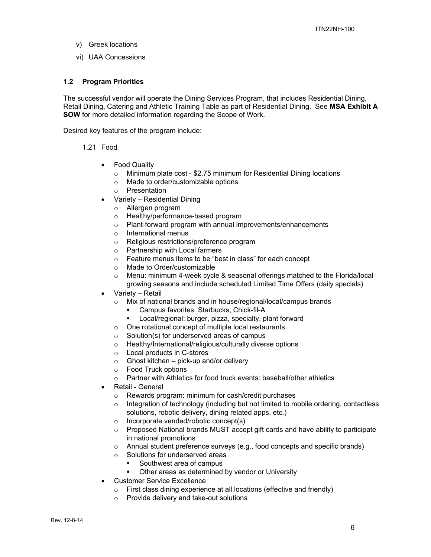- v) Greek locations
- vi) UAA Concessions

#### **1.2 Program Priorities**

The successful vendor will operate the Dining Services Program, that includes Residential Dining, Retail Dining, Catering and Athletic Training Table as part of Residential Dining. See **MSA Exhibit A SOW** for more detailed information regarding the Scope of Work.

Desired key features of the program include:

- 1.21 Food
	- Food Quality
		- o Minimum plate cost \$2.75 minimum for Residential Dining locations
		- o Made to order/customizable options
		- o Presentation
	- Variety Residential Dining
		- o Allergen program
		- o Healthy/performance-based program
		- o Plant-forward program with annual improvements/enhancements
		- o International menus
		- o Religious restrictions/preference program
		- o Partnership with Local farmers
		- o Feature menus items to be "best in class" for each concept
		- o Made to Order/customizable
		- o Menu: minimum 4-week cycle & seasonal offerings matched to the Florida/local growing seasons and include scheduled Limited Time Offers (daily specials)
	- Variety Retail
		- o Mix of national brands and in house/regional/local/campus brands
			- Campus favorites: Starbucks, Chick-fil-A
			- **-** Local/regional: burger, pizza, specialty, plant forward
		- o One rotational concept of multiple local restaurants
		- o Solution(s) for underserved areas of campus
		- o Healthy/International/religious/culturally diverse options
		- o Local products in C-stores
		- $\circ$  Ghost kitchen pick-up and/or delivery
		- o Food Truck options
		- o Partner with Athletics for food truck events: baseball/other athletics
	- Retail General
		- o Rewards program: minimum for cash/credit purchases
		- $\circ$  Integration of technology (including but not limited to mobile ordering, contactless solutions, robotic delivery, dining related apps, etc.)
		- o Incorporate vended/robotic concept(s)
		- o Proposed National brands MUST accept gift cards and have ability to participate in national promotions
		- $\circ$  Annual student preference surveys (e.g., food concepts and specific brands)
		- o Solutions for underserved areas
			- Southwest area of campus
			- Other areas as determined by vendor or University
	- Customer Service Excellence
		- o First class dining experience at all locations (effective and friendly)
		- o Provide delivery and take-out solutions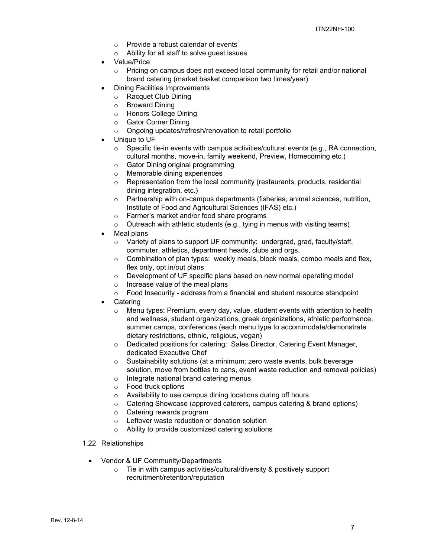- o Provide a robust calendar of events
- o Ability for all staff to solve guest issues
- Value/Price
	- $\circ$  Pricing on campus does not exceed local community for retail and/or national brand catering (market basket comparison two times/year)
- Dining Facilities Improvements
	- o Racquet Club Dining
	- o Broward Dining
	- o Honors College Dining
	- o Gator Corner Dining
	- o Ongoing updates/refresh/renovation to retail portfolio
- Unique to UF
	- $\circ$  Specific tie-in events with campus activities/cultural events (e.g., RA connection, cultural months, move-in, family weekend, Preview, Homecoming etc.)
	- o Gator Dining original programming
	- o Memorable dining experiences
	- o Representation from the local community (restaurants, products, residential dining integration, etc.)
	- $\circ$  Partnership with on-campus departments (fisheries, animal sciences, nutrition, Institute of Food and Agricultural Sciences (IFAS) etc.)
	- o Farmer's market and/or food share programs
	- $\circ$  Outreach with athletic students (e.g., tying in menus with visiting teams)
- Meal plans
	- o Variety of plans to support UF community: undergrad, grad, faculty/staff, commuter, athletics, department heads, clubs and orgs.
	- $\circ$  Combination of plan types: weekly meals, block meals, combo meals and flex, flex only, opt in/out plans
	- o Development of UF specific plans based on new normal operating model
	- $\circ$  Increase value of the meal plans
	- $\circ$  Food Insecurity address from a financial and student resource standpoint
- **Catering** 
	- $\circ$  Menu types: Premium, every day, value, student events with attention to health and wellness, student organizations, greek organizations, athletic performance, summer camps, conferences (each menu type to accommodate/demonstrate dietary restrictions, ethnic, religious, vegan)
	- o Dedicated positions for catering: Sales Director, Catering Event Manager, dedicated Executive Chef
	- o Sustainability solutions (at a minimum: zero waste events, bulk beverage solution, move from bottles to cans, event waste reduction and removal policies)
	- o Integrate national brand catering menus
	- o Food truck options
	- o Availability to use campus dining locations during off hours
	- o Catering Showcase (approved caterers, campus catering & brand options)
	- o Catering rewards program
	- o Leftover waste reduction or donation solution
	- o Ability to provide customized catering solutions

#### 1.22 Relationships

- Vendor & UF Community/Departments
	- o Tie in with campus activities/cultural/diversity & positively support recruitment/retention/reputation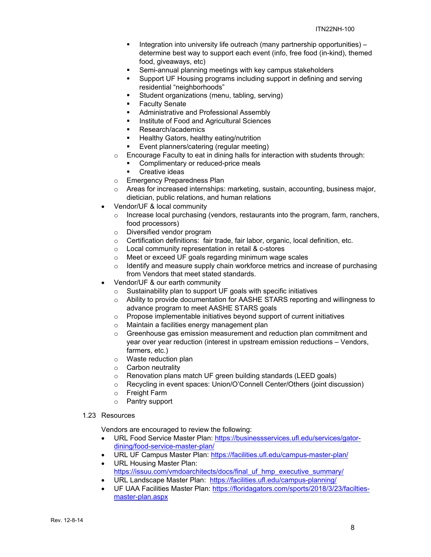- **Integration into university life outreach (many partnership opportunities)** determine best way to support each event (info, free food (in-kind), themed food, giveaways, etc)
- Semi-annual planning meetings with key campus stakeholders
- **Support UF Housing programs including support in defining and serving** residential "neighborhoods"
- Student organizations (menu, tabling, serving)
- Faculty Senate
- **Administrative and Professional Assembly**
- Institute of Food and Agricultural Sciences
- **Research/academics**
- **Healthy Gators, healthy eating/nutrition**
- **Event planners/catering (regular meeting)**
- o Encourage Faculty to eat in dining halls for interaction with students through:
	- Complimentary or reduced-price meals
	- **Creative ideas**
- o Emergency Preparedness Plan
- $\circ$  Areas for increased internships: marketing, sustain, accounting, business major, dietician, public relations, and human relations
- Vendor/UF & local community
	- Increase local purchasing (vendors, restaurants into the program, farm, ranchers, food processors)
	- o Diversified vendor program
	- o Certification definitions: fair trade, fair labor, organic, local definition, etc.
	- o Local community representation in retail & c-stores
	- o Meet or exceed UF goals regarding minimum wage scales
	- $\circ$  Identify and measure supply chain workforce metrics and increase of purchasing from Vendors that meet stated standards.
- Vendor/UF & our earth community
	- $\circ$  Sustainability plan to support UF goals with specific initiatives
	- o Ability to provide documentation for AASHE STARS reporting and willingness to advance program to meet AASHE STARS goals
	- o Propose implementable initiatives beyond support of current initiatives
	- o Maintain a facilities energy management plan
	- $\circ$  Greenhouse gas emission measurement and reduction plan commitment and year over year reduction (interest in upstream emission reductions – Vendors, farmers, etc.)
	- o Waste reduction plan
	- o Carbon neutrality
	- o Renovation plans match UF green building standards (LEED goals)
	- o Recycling in event spaces: Union/O'Connell Center/Others (joint discussion)
	- o Freight Farm
	- o Pantry support

#### 1.23 Resources

Vendors are encouraged to review the following:

- URL Food Service Master Plan: https://businessservices.ufl.edu/services/gatordining/food-service-master-plan/
- URL UF Campus Master Plan: https://facilities.ufl.edu/campus-master-plan/
- URL Housing Master Plan: https://issuu.com/vmdoarchitects/docs/final\_uf\_hmp\_executive\_summary/
- URL Landscape Master Plan: https://facilities.ufl.edu/campus-planning/
- UF UAA Facilities Master Plan: https://floridagators.com/sports/2018/3/23/faciltiesmaster-plan.aspx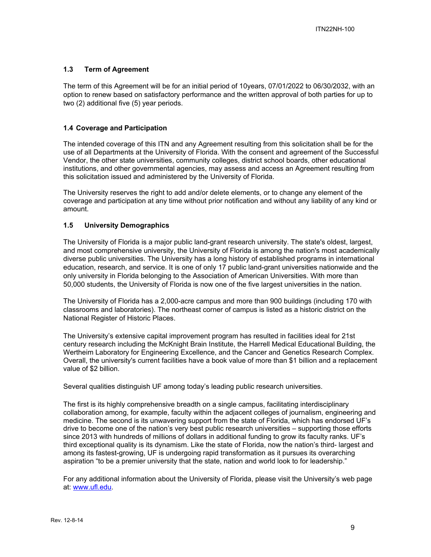### **1.3 Term of Agreement**

The term of this Agreement will be for an initial period of 10years, 07/01/2022 to 06/30/2032, with an option to renew based on satisfactory performance and the written approval of both parties for up to two (2) additional five (5) year periods.

#### **1.4 Coverage and Participation**

The intended coverage of this ITN and any Agreement resulting from this solicitation shall be for the use of all Departments at the University of Florida. With the consent and agreement of the Successful Vendor, the other state universities, community colleges, district school boards, other educational institutions, and other governmental agencies, may assess and access an Agreement resulting from this solicitation issued and administered by the University of Florida.

The University reserves the right to add and/or delete elements, or to change any element of the coverage and participation at any time without prior notification and without any liability of any kind or amount.

#### **1.5 University Demographics**

The University of Florida is a major public land-grant research university. The state's oldest, largest, and most comprehensive university, the University of Florida is among the nation's most academically diverse public universities. The University has a long history of established programs in international education, research, and service. It is one of only 17 public land-grant universities nationwide and the only university in Florida belonging to the Association of American Universities. With more than 50,000 students, the University of Florida is now one of the five largest universities in the nation.

The University of Florida has a 2,000-acre campus and more than 900 buildings (including 170 with classrooms and laboratories). The northeast corner of campus is listed as a historic district on the National Register of Historic Places.

The University's extensive capital improvement program has resulted in facilities ideal for 21st century research including the McKnight Brain Institute, the Harrell Medical Educational Building, the Wertheim Laboratory for Engineering Excellence, and the Cancer and Genetics Research Complex. Overall, the university's current facilities have a book value of more than \$1 billion and a replacement value of \$2 billion.

Several qualities distinguish UF among today's leading public research universities.

The first is its highly comprehensive breadth on a single campus, facilitating interdisciplinary collaboration among, for example, faculty within the adjacent colleges of journalism, engineering and medicine. The second is its unwavering support from the state of Florida, which has endorsed UF's drive to become one of the nation's very best public research universities – supporting those efforts since 2013 with hundreds of millions of dollars in additional funding to grow its faculty ranks. UF's third exceptional quality is its dynamism. Like the state of Florida, now the nation's third- largest and among its fastest-growing, UF is undergoing rapid transformation as it pursues its overarching aspiration "to be a premier university that the state, nation and world look to for leadership."

For any additional information about the University of Florida, please visit the University's web page at: www.ufl.edu.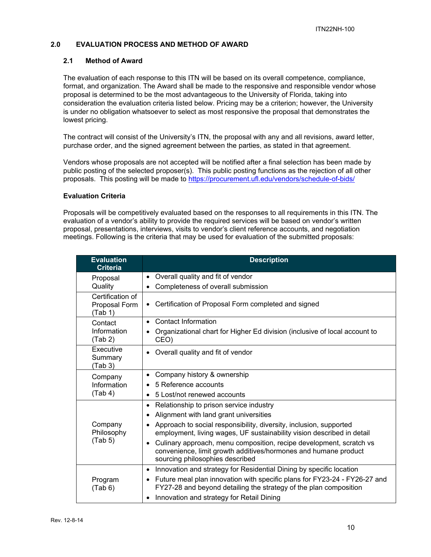## **2.0 EVALUATION PROCESS AND METHOD OF AWARD**

#### **2.1 Method of Award**

The evaluation of each response to this ITN will be based on its overall competence, compliance, format, and organization. The Award shall be made to the responsive and responsible vendor whose proposal is determined to be the most advantageous to the University of Florida, taking into consideration the evaluation criteria listed below. Pricing may be a criterion; however, the University is under no obligation whatsoever to select as most responsive the proposal that demonstrates the lowest pricing.

The contract will consist of the University's ITN, the proposal with any and all revisions, award letter, purchase order, and the signed agreement between the parties, as stated in that agreement.

Vendors whose proposals are not accepted will be notified after a final selection has been made by public posting of the selected proposer(s). This public posting functions as the rejection of all other proposals. This posting will be made to https://procurement.ufl.edu/vendors/schedule-of-bids/

### **Evaluation Criteria**

Proposals will be competitively evaluated based on the responses to all requirements in this ITN. The evaluation of a vendor's ability to provide the required services will be based on vendor's written proposal, presentations, interviews, visits to vendor's client reference accounts, and negotiation meetings. Following is the criteria that may be used for evaluation of the submitted proposals:

| <b>Evaluation</b><br><b>Criteria</b>         | <b>Description</b>                                                                                                                                                        |  |
|----------------------------------------------|---------------------------------------------------------------------------------------------------------------------------------------------------------------------------|--|
| Proposal                                     | Overall quality and fit of vendor<br>$\bullet$                                                                                                                            |  |
| Quality                                      | Completeness of overall submission                                                                                                                                        |  |
| Certification of<br>Proposal Form<br>(Tab 1) | Certification of Proposal Form completed and signed                                                                                                                       |  |
| Contact                                      | Contact Information<br>$\bullet$                                                                                                                                          |  |
| Information<br>(Tab 2)                       | Organizational chart for Higher Ed division (inclusive of local account to<br>CEO)                                                                                        |  |
| Executive<br>Summary<br>(Tab 3)              | Overall quality and fit of vendor                                                                                                                                         |  |
| Company                                      | Company history & ownership<br>$\bullet$                                                                                                                                  |  |
| Information                                  | 5 Reference accounts                                                                                                                                                      |  |
| (Tab 4)                                      | 5 Lost/not renewed accounts<br>$\bullet$                                                                                                                                  |  |
|                                              | Relationship to prison service industry<br>٠                                                                                                                              |  |
|                                              | Alignment with land grant universities<br>٠                                                                                                                               |  |
| Company<br>Philosophy                        | Approach to social responsibility, diversity, inclusion, supported<br>employment, living wages, UF sustainability vision described in detail                              |  |
| (Tab 5)                                      | Culinary approach, menu composition, recipe development, scratch vs<br>convenience, limit growth additives/hormones and humane product<br>sourcing philosophies described |  |
|                                              | Innovation and strategy for Residential Dining by specific location<br>٠                                                                                                  |  |
| Program<br>(Tab 6)                           | Future meal plan innovation with specific plans for FY23-24 - FY26-27 and<br>٠<br>FY27-28 and beyond detailing the strategy of the plan composition                       |  |
|                                              | Innovation and strategy for Retail Dining<br>٠                                                                                                                            |  |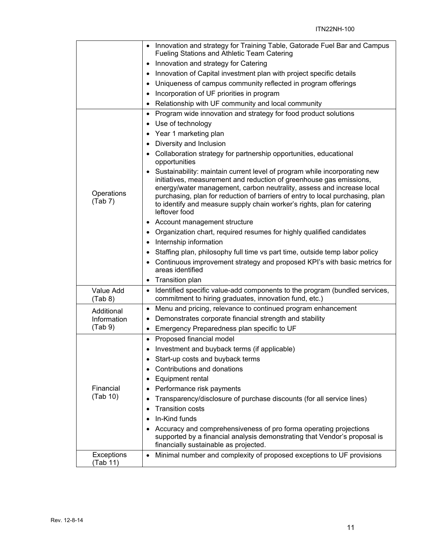|                       | Innovation and strategy for Training Table, Gatorade Fuel Bar and Campus<br>$\bullet$<br>Fueling Stations and Athletic Team Catering                                                                                                                                                                                                                                                                        |
|-----------------------|-------------------------------------------------------------------------------------------------------------------------------------------------------------------------------------------------------------------------------------------------------------------------------------------------------------------------------------------------------------------------------------------------------------|
|                       | Innovation and strategy for Catering<br>$\bullet$                                                                                                                                                                                                                                                                                                                                                           |
|                       | Innovation of Capital investment plan with project specific details<br>$\bullet$                                                                                                                                                                                                                                                                                                                            |
|                       | Uniqueness of campus community reflected in program offerings<br>٠                                                                                                                                                                                                                                                                                                                                          |
|                       | Incorporation of UF priorities in program<br>$\bullet$                                                                                                                                                                                                                                                                                                                                                      |
|                       | Relationship with UF community and local community                                                                                                                                                                                                                                                                                                                                                          |
|                       | Program wide innovation and strategy for food product solutions<br>٠                                                                                                                                                                                                                                                                                                                                        |
|                       | Use of technology                                                                                                                                                                                                                                                                                                                                                                                           |
|                       | Year 1 marketing plan<br>$\bullet$                                                                                                                                                                                                                                                                                                                                                                          |
|                       | Diversity and Inclusion                                                                                                                                                                                                                                                                                                                                                                                     |
|                       | Collaboration strategy for partnership opportunities, educational<br>opportunities                                                                                                                                                                                                                                                                                                                          |
| Operations<br>(Tab 7) | Sustainability: maintain current level of program while incorporating new<br>٠<br>initiatives, measurement and reduction of greenhouse gas emissions,<br>energy/water management, carbon neutrality, assess and increase local<br>purchasing, plan for reduction of barriers of entry to local purchasing, plan<br>to identify and measure supply chain worker's rights, plan for catering<br>leftover food |
|                       | Account management structure<br>٠                                                                                                                                                                                                                                                                                                                                                                           |
|                       | Organization chart, required resumes for highly qualified candidates<br>٠                                                                                                                                                                                                                                                                                                                                   |
|                       | Internship information                                                                                                                                                                                                                                                                                                                                                                                      |
|                       | Staffing plan, philosophy full time vs part time, outside temp labor policy<br>$\bullet$                                                                                                                                                                                                                                                                                                                    |
|                       | Continuous improvement strategy and proposed KPI's with basic metrics for<br>areas identified                                                                                                                                                                                                                                                                                                               |
|                       | Transition plan                                                                                                                                                                                                                                                                                                                                                                                             |
| Value Add<br>(Tab 8)  | Identified specific value-add components to the program (bundled services,<br>$\bullet$<br>commitment to hiring graduates, innovation fund, etc.)                                                                                                                                                                                                                                                           |
| Additional            | Menu and pricing, relevance to continued program enhancement<br>$\bullet$                                                                                                                                                                                                                                                                                                                                   |
| Information           | Demonstrates corporate financial strength and stability<br>٠                                                                                                                                                                                                                                                                                                                                                |
| (Tab 9)               | Emergency Preparedness plan specific to UF<br>$\bullet$                                                                                                                                                                                                                                                                                                                                                     |
|                       | Proposed financial model<br>٠                                                                                                                                                                                                                                                                                                                                                                               |
|                       | Investment and buyback terms (if applicable)<br>$\bullet$                                                                                                                                                                                                                                                                                                                                                   |
|                       | Start-up costs and buyback terms<br>٠                                                                                                                                                                                                                                                                                                                                                                       |
|                       | Contributions and donations                                                                                                                                                                                                                                                                                                                                                                                 |
|                       | Equipment rental                                                                                                                                                                                                                                                                                                                                                                                            |
| Financial             | Performance risk payments                                                                                                                                                                                                                                                                                                                                                                                   |
| (Tab 10)              | Transparency/disclosure of purchase discounts (for all service lines)                                                                                                                                                                                                                                                                                                                                       |
|                       | <b>Transition costs</b>                                                                                                                                                                                                                                                                                                                                                                                     |
|                       | In-Kind funds                                                                                                                                                                                                                                                                                                                                                                                               |
|                       | Accuracy and comprehensiveness of pro forma operating projections<br>supported by a financial analysis demonstrating that Vendor's proposal is<br>financially sustainable as projected.                                                                                                                                                                                                                     |
| Exceptions            | Minimal number and complexity of proposed exceptions to UF provisions<br>$\bullet$                                                                                                                                                                                                                                                                                                                          |
| (Tab 11)              |                                                                                                                                                                                                                                                                                                                                                                                                             |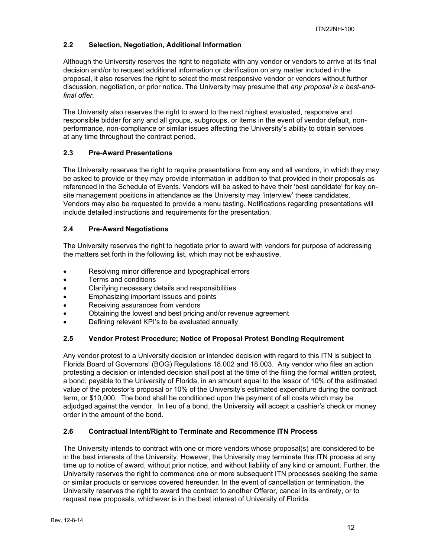## **2.2 Selection, Negotiation, Additional Information**

Although the University reserves the right to negotiate with any vendor or vendors to arrive at its final decision and/or to request additional information or clarification on any matter included in the proposal, it also reserves the right to select the most responsive vendor or vendors without further discussion, negotiation, or prior notice. The University may presume that *any proposal is a best-andfinal offer.* 

The University also reserves the right to award to the next highest evaluated, responsive and responsible bidder for any and all groups, subgroups, or items in the event of vendor default, nonperformance, non-compliance or similar issues affecting the University's ability to obtain services at any time throughout the contract period.

## **2.3 Pre-Award Presentations**

The University reserves the right to require presentations from any and all vendors, in which they may be asked to provide or they may provide information in addition to that provided in their proposals as referenced in the Schedule of Events. Vendors will be asked to have their 'best candidate' for key onsite management positions in attendance as the University may 'interview' these candidates. Vendors may also be requested to provide a menu tasting. Notifications regarding presentations will include detailed instructions and requirements for the presentation.

## **2.4 Pre-Award Negotiations**

The University reserves the right to negotiate prior to award with vendors for purpose of addressing the matters set forth in the following list, which may not be exhaustive.

- Resolving minor difference and typographical errors
- Terms and conditions
- Clarifying necessary details and responsibilities
- Emphasizing important issues and points
- Receiving assurances from vendors
- Obtaining the lowest and best pricing and/or revenue agreement
- Defining relevant KPI's to be evaluated annually

## **2.5 Vendor Protest Procedure; Notice of Proposal Protest Bonding Requirement**

Any vendor protest to a University decision or intended decision with regard to this ITN is subject to Florida Board of Governors' (BOG) Regulations 18.002 and 18.003. Any vendor who files an action protesting a decision or intended decision shall post at the time of the filing the formal written protest, a bond, payable to the University of Florida, in an amount equal to the lessor of 10% of the estimated value of the protestor's proposal or 10% of the University's estimated expenditure during the contract term, or \$10,000. The bond shall be conditioned upon the payment of all costs which may be adjudged against the vendor. In lieu of a bond, the University will accept a cashier's check or money order in the amount of the bond.

## **2.6 Contractual Intent/Right to Terminate and Recommence ITN Process**

The University intends to contract with one or more vendors whose proposal(s) are considered to be in the best interests of the University. However, the University may terminate this ITN process at any time up to notice of award, without prior notice, and without liability of any kind or amount. Further, the University reserves the right to commence one or more subsequent ITN processes seeking the same or similar products or services covered hereunder. In the event of cancellation or termination, the University reserves the right to award the contract to another Offeror, cancel in its entirety, or to request new proposals, whichever is in the best interest of University of Florida.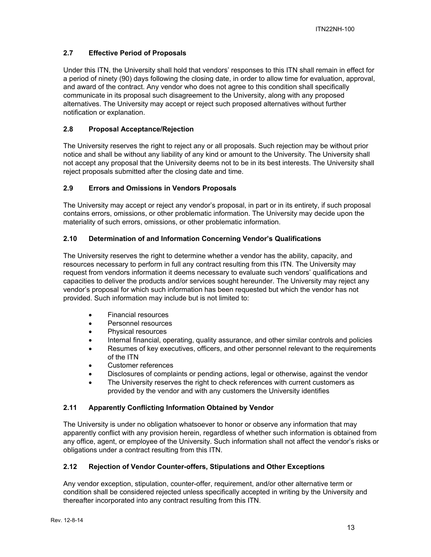## **2.7 Effective Period of Proposals**

Under this ITN, the University shall hold that vendors' responses to this ITN shall remain in effect for a period of ninety (90) days following the closing date, in order to allow time for evaluation, approval, and award of the contract. Any vendor who does not agree to this condition shall specifically communicate in its proposal such disagreement to the University, along with any proposed alternatives. The University may accept or reject such proposed alternatives without further notification or explanation.

## **2.8 Proposal Acceptance/Rejection**

The University reserves the right to reject any or all proposals. Such rejection may be without prior notice and shall be without any liability of any kind or amount to the University. The University shall not accept any proposal that the University deems not to be in its best interests. The University shall reject proposals submitted after the closing date and time.

### **2.9 Errors and Omissions in Vendors Proposals**

The University may accept or reject any vendor's proposal, in part or in its entirety, if such proposal contains errors, omissions, or other problematic information. The University may decide upon the materiality of such errors, omissions, or other problematic information.

### **2.10 Determination of and Information Concerning Vendor's Qualifications**

The University reserves the right to determine whether a vendor has the ability, capacity, and resources necessary to perform in full any contract resulting from this ITN. The University may request from vendors information it deems necessary to evaluate such vendors' qualifications and capacities to deliver the products and/or services sought hereunder. The University may reject any vendor's proposal for which such information has been requested but which the vendor has not provided. Such information may include but is not limited to:

- Financial resources
- Personnel resources
- Physical resources
- Internal financial, operating, quality assurance, and other similar controls and policies
- Resumes of key executives, officers, and other personnel relevant to the requirements of the ITN
- Customer references
- Disclosures of complaints or pending actions, legal or otherwise, against the vendor
- The University reserves the right to check references with current customers as provided by the vendor and with any customers the University identifies

## **2.11 Apparently Conflicting Information Obtained by Vendor**

The University is under no obligation whatsoever to honor or observe any information that may apparently conflict with any provision herein, regardless of whether such information is obtained from any office, agent, or employee of the University. Such information shall not affect the vendor's risks or obligations under a contract resulting from this ITN.

## **2.12 Rejection of Vendor Counter-offers, Stipulations and Other Exceptions**

Any vendor exception, stipulation, counter-offer, requirement, and/or other alternative term or condition shall be considered rejected unless specifically accepted in writing by the University and thereafter incorporated into any contract resulting from this ITN.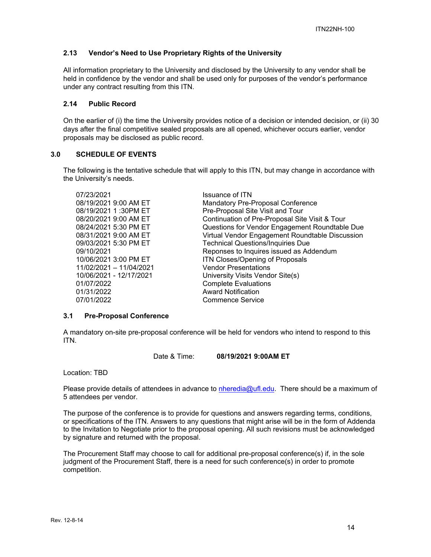### **2.13 Vendor's Need to Use Proprietary Rights of the University**

All information proprietary to the University and disclosed by the University to any vendor shall be held in confidence by the vendor and shall be used only for purposes of the vendor's performance under any contract resulting from this ITN.

#### **2.14 Public Record**

On the earlier of (i) the time the University provides notice of a decision or intended decision, or (ii) 30 days after the final competitive sealed proposals are all opened, whichever occurs earlier, vendor proposals may be disclosed as public record.

## **3.0 SCHEDULE OF EVENTS**

The following is the tentative schedule that will apply to this ITN, but may change in accordance with the University's needs.

| <b>Issuance of ITN</b>                          |
|-------------------------------------------------|
| <b>Mandatory Pre-Proposal Conference</b>        |
| Pre-Proposal Site Visit and Tour                |
| Continuation of Pre-Proposal Site Visit & Tour  |
| Questions for Vendor Engagement Roundtable Due  |
| Virtual Vendor Engagement Roundtable Discussion |
| <b>Technical Questions/Inquiries Due</b>        |
| Reponses to Inquires issued as Addendum         |
| ITN Closes/Opening of Proposals                 |
| <b>Vendor Presentations</b>                     |
| University Visits Vendor Site(s)                |
| <b>Complete Evaluations</b>                     |
| <b>Award Notification</b>                       |
| Commence Service                                |
|                                                 |

#### **3.1 Pre-Proposal Conference**

A mandatory on-site pre-proposal conference will be held for vendors who intend to respond to this ITN.

Date & Time: **08/19/2021 9:00AM ET**

Location: TBD

Please provide details of attendees in advance to nheredia@ufl.edu. There should be a maximum of 5 attendees per vendor.

The purpose of the conference is to provide for questions and answers regarding terms, conditions, or specifications of the ITN. Answers to any questions that might arise will be in the form of Addenda to the Invitation to Negotiate prior to the proposal opening. All such revisions must be acknowledged by signature and returned with the proposal.

The Procurement Staff may choose to call for additional pre-proposal conference(s) if, in the sole judgment of the Procurement Staff, there is a need for such conference(s) in order to promote competition.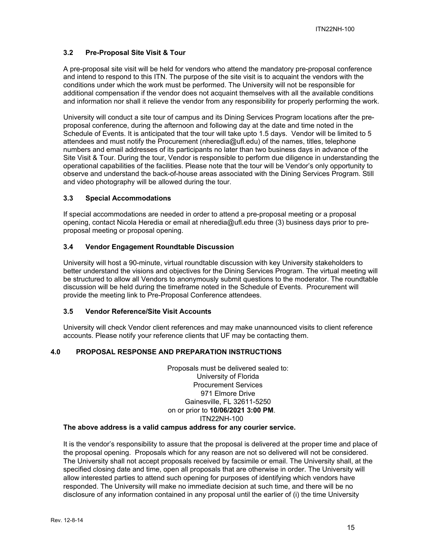## **3.2 Pre-Proposal Site Visit & Tour**

A pre-proposal site visit will be held for vendors who attend the mandatory pre-proposal conference and intend to respond to this ITN. The purpose of the site visit is to acquaint the vendors with the conditions under which the work must be performed. The University will not be responsible for additional compensation if the vendor does not acquaint themselves with all the available conditions and information nor shall it relieve the vendor from any responsibility for properly performing the work.

University will conduct a site tour of campus and its Dining Services Program locations after the preproposal conference, during the afternoon and following day at the date and time noted in the Schedule of Events. It is anticipated that the tour will take upto 1.5 days. Vendor will be limited to 5 attendees and must notify the Procurement (nheredia@ufl.edu) of the names, titles, telephone numbers and email addresses of its participants no later than two business days in advance of the Site Visit & Tour. During the tour, Vendor is responsible to perform due diligence in understanding the operational capabilities of the facilities. Please note that the tour will be Vendor's only opportunity to observe and understand the back-of-house areas associated with the Dining Services Program. Still and video photography will be allowed during the tour.

### **3.3 Special Accommodations**

If special accommodations are needed in order to attend a pre-proposal meeting or a proposal opening, contact Nicola Heredia or email at nheredia@ufl.edu three (3) business days prior to preproposal meeting or proposal opening.

### **3.4 Vendor Engagement Roundtable Discussion**

University will host a 90-minute, virtual roundtable discussion with key University stakeholders to better understand the visions and objectives for the Dining Services Program. The virtual meeting will be structured to allow all Vendors to anonymously submit questions to the moderator. The roundtable discussion will be held during the timeframe noted in the Schedule of Events. Procurement will provide the meeting link to Pre-Proposal Conference attendees.

#### **3.5 Vendor Reference/Site Visit Accounts**

University will check Vendor client references and may make unannounced visits to client reference accounts. Please notify your reference clients that UF may be contacting them.

### **4.0 PROPOSAL RESPONSE AND PREPARATION INSTRUCTIONS**

Proposals must be delivered sealed to: University of Florida Procurement Services 971 Elmore Drive Gainesville, FL 32611-5250 on or prior to **10/06/2021 3:00 PM**. ITN22NH-100

## **The above address is a valid campus address for any courier service.**

It is the vendor's responsibility to assure that the proposal is delivered at the proper time and place of the proposal opening. Proposals which for any reason are not so delivered will not be considered. The University shall not accept proposals received by facsimile or email. The University shall, at the specified closing date and time, open all proposals that are otherwise in order. The University will allow interested parties to attend such opening for purposes of identifying which vendors have responded. The University will make no immediate decision at such time, and there will be no disclosure of any information contained in any proposal until the earlier of (i) the time University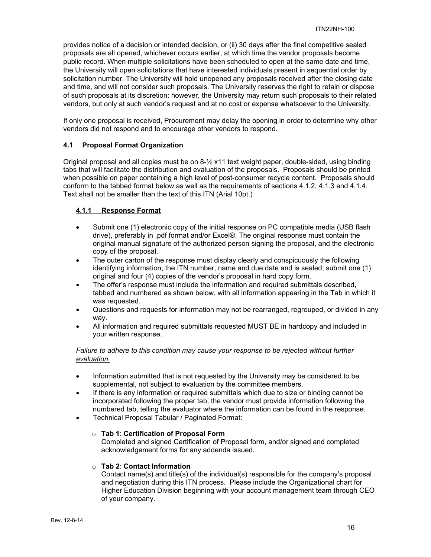provides notice of a decision or intended decision, or (ii) 30 days after the final competitive sealed proposals are all opened, whichever occurs earlier, at which time the vendor proposals become public record. When multiple solicitations have been scheduled to open at the same date and time, the University will open solicitations that have interested individuals present in sequential order by solicitation number. The University will hold unopened any proposals received after the closing date and time, and will not consider such proposals. The University reserves the right to retain or dispose of such proposals at its discretion; however, the University may return such proposals to their related vendors, but only at such vendor's request and at no cost or expense whatsoever to the University.

If only one proposal is received, Procurement may delay the opening in order to determine why other vendors did not respond and to encourage other vendors to respond.

## **4.1 Proposal Format Organization**

Original proposal and all copies must be on 8-½ x11 text weight paper, double-sided, using binding tabs that will facilitate the distribution and evaluation of the proposals. Proposals should be printed when possible on paper containing a high level of post-consumer recycle content. Proposals should conform to the tabbed format below as well as the requirements of sections 4.1.2, 4.1.3 and 4.1.4. Text shall not be smaller than the text of this ITN (Arial 10pt.)

### **4.1.1 Response Format**

- Submit one (1) electronic copy of the initial response on PC compatible media (USB flash drive), preferably in .pdf format and/or Excel®. The original response must contain the original manual signature of the authorized person signing the proposal, and the electronic copy of the proposal.
- The outer carton of the response must display clearly and conspicuously the following identifying information, the ITN number, name and due date and is sealed; submit one (1) original and four (4) copies of the vendor's proposal in hard copy form.
- The offer's response must include the information and required submittals described, tabbed and numbered as shown below, with all information appearing in the Tab in which it was requested.
- Questions and requests for information may not be rearranged, regrouped, or divided in any way.
- All information and required submittals requested MUST BE in hardcopy and included in your written response.

### *Failure to adhere to this condition may cause your response to be rejected without further evaluation.*

- Information submitted that is not requested by the University may be considered to be supplemental, not subject to evaluation by the committee members.
- If there is any information or required submittals which due to size or binding cannot be incorporated following the proper tab, the vendor must provide information following the numbered tab, telling the evaluator where the information can be found in the response.
- Technical Proposal Tabular / Paginated Format:

#### o **Tab 1**: **Certification of Proposal Form**

Completed and signed Certification of Proposal form, and/or signed and completed acknowledgement forms for any addenda issued.

#### o **Tab 2**: **Contact Information**

Contact name(s) and title(s) of the individual(s) responsible for the company's proposal and negotiation during this ITN process. Please include the Organizational chart for Higher Education Division beginning with your account management team through CEO of your company.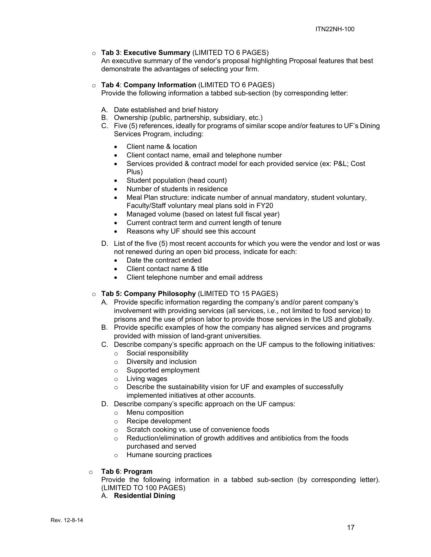### o **Tab 3**: **Executive Summary** (LIMITED TO 6 PAGES)

 An executive summary of the vendor's proposal highlighting Proposal features that best demonstrate the advantages of selecting your firm.

#### o **Tab 4**: **Company Information** (LIMITED TO 6 PAGES)

Provide the following information a tabbed sub-section (by corresponding letter:

- A. Date established and brief history
- B. Ownership (public, partnership, subsidiary, etc.)
- C. Five (5) references, ideally for programs of similar scope and/or features to UF's Dining Services Program, including:
	- Client name & location
	- Client contact name, email and telephone number
	- Services provided & contract model for each provided service (ex: P&L; Cost Plus)
	- Student population (head count)
	- Number of students in residence
	- Meal Plan structure: indicate number of annual mandatory, student voluntary, Faculty/Staff voluntary meal plans sold in FY20
	- Managed volume (based on latest full fiscal year)
	- Current contract term and current length of tenure
	- Reasons why UF should see this account
- D. List of the five (5) most recent accounts for which you were the vendor and lost or was not renewed during an open bid process, indicate for each:
	- Date the contract ended
	- Client contact name & title
	- Client telephone number and email address
- o **Tab 5: Company Philosophy** (LIMITED TO 15 PAGES)
	- A. Provide specific information regarding the company's and/or parent company's involvement with providing services (all services, i.e., not limited to food service) to prisons and the use of prison labor to provide those services in the US and globally.
	- B. Provide specific examples of how the company has aligned services and programs provided with mission of land-grant universities.
	- C. Describe company's specific approach on the UF campus to the following initiatives:
		- o Social responsibility
		- o Diversity and inclusion
		- o Supported employment
		- o Living wages
		- o Describe the sustainability vision for UF and examples of successfully implemented initiatives at other accounts.
	- D. Describe company's specific approach on the UF campus:
		- o Menu composition
		- o Recipe development
		- o Scratch cooking vs. use of convenience foods
		- Reduction/elimination of growth additives and antibiotics from the foods purchased and served
		- o Humane sourcing practices
- o **Tab 6**: **Program**

Provide the following information in a tabbed sub-section (by corresponding letter). (LIMITED TO 100 PAGES)

A. **Residential Dining**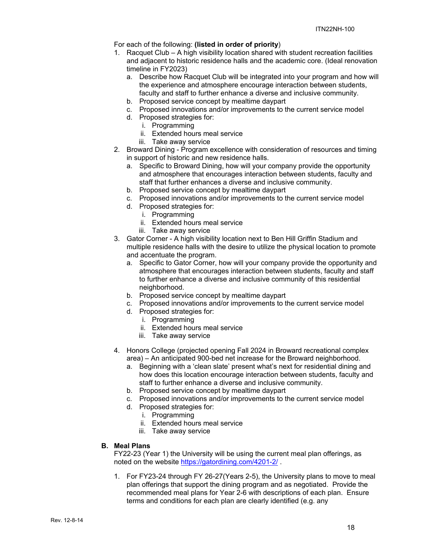#### For each of the following: **(listed in order of priority**)

- 1. Racquet Club A high visibility location shared with student recreation facilities and adjacent to historic residence halls and the academic core. (Ideal renovation timeline in FY2023)
	- a. Describe how Racquet Club will be integrated into your program and how will the experience and atmosphere encourage interaction between students, faculty and staff to further enhance a diverse and inclusive community.
	- b. Proposed service concept by mealtime daypart
	- c. Proposed innovations and/or improvements to the current service model
	- d. Proposed strategies for:
		- i. Programming
		- ii. Extended hours meal service
		- iii. Take away service
- 2. Broward Dining Program excellence with consideration of resources and timing in support of historic and new residence halls.
	- a. Specific to Broward Dining, how will your company provide the opportunity and atmosphere that encourages interaction between students, faculty and staff that further enhances a diverse and inclusive community.
	- b. Proposed service concept by mealtime daypart
	- c. Proposed innovations and/or improvements to the current service model
	- d. Proposed strategies for:
		- i. Programming
		- ii. Extended hours meal service
		- iii. Take away service
- 3. Gator Corner A high visibility location next to Ben Hill Griffin Stadium and multiple residence halls with the desire to utilize the physical location to promote and accentuate the program.
	- a. Specific to Gator Corner, how will your company provide the opportunity and atmosphere that encourages interaction between students, faculty and staff to further enhance a diverse and inclusive community of this residential neighborhood.
	- b. Proposed service concept by mealtime daypart
	- c. Proposed innovations and/or improvements to the current service model
	- d. Proposed strategies for:
		- i. Programming
		- ii. Extended hours meal service
		- iii. Take away service
- 4. Honors College (projected opening Fall 2024 in Broward recreational complex area) – An anticipated 900-bed net increase for the Broward neighborhood.
	- a. Beginning with a 'clean slate' present what's next for residential dining and how does this location encourage interaction between students, faculty and staff to further enhance a diverse and inclusive community.
	- b. Proposed service concept by mealtime daypart
	- c. Proposed innovations and/or improvements to the current service model
	- d. Proposed strategies for:
		- i. Programming
		- ii. Extended hours meal service
		- iii. Take away service

#### **B. Meal Plans**

FY22-23 (Year 1) the University will be using the current meal plan offerings, as noted on the website https://gatordining.com/4201-2/ .

1. For FY23-24 through FY 26-27(Years 2-5), the University plans to move to meal plan offerings that support the dining program and as negotiated. Provide the recommended meal plans for Year 2-6 with descriptions of each plan. Ensure terms and conditions for each plan are clearly identified (e.g. any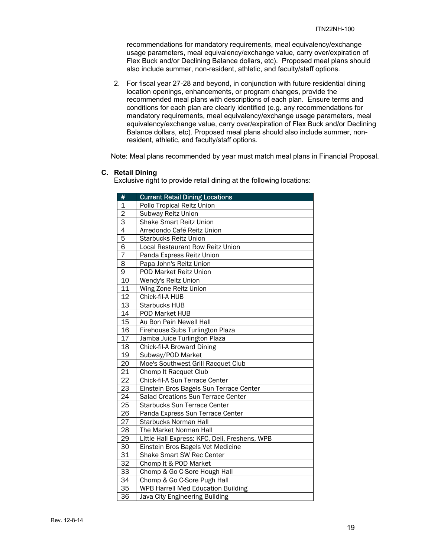recommendations for mandatory requirements, meal equivalency/exchange usage parameters, meal equivalency/exchange value, carry over/expiration of Flex Buck and/or Declining Balance dollars, etc). Proposed meal plans should also include summer, non-resident, athletic, and faculty/staff options.

2. For fiscal year 27-28 and beyond, in conjunction with future residential dining location openings, enhancements, or program changes, provide the recommended meal plans with descriptions of each plan. Ensure terms and conditions for each plan are clearly identified (e.g. any recommendations for mandatory requirements, meal equivalency/exchange usage parameters, meal equivalency/exchange value, carry over/expiration of Flex Buck and/or Declining Balance dollars, etc). Proposed meal plans should also include summer, nonresident, athletic, and faculty/staff options.

Note: Meal plans recommended by year must match meal plans in Financial Proposal.

#### **C. Retail Dining**

Exclusive right to provide retail dining at the following locations:

| #               | <b>Current Retail Dining Locations</b>        |  |  |
|-----------------|-----------------------------------------------|--|--|
| $\overline{1}$  | Pollo Tropical Reitz Union                    |  |  |
| $\overline{2}$  | Subway Reitz Union                            |  |  |
| $\overline{3}$  | <b>Shake Smart Reitz Union</b>                |  |  |
| $\overline{4}$  | Arredondo Café Reitz Union                    |  |  |
| 5               | <b>Starbucks Reitz Union</b>                  |  |  |
| $\overline{6}$  | <b>Local Restaurant Row Reitz Union</b>       |  |  |
| 7               | Panda Express Reitz Union                     |  |  |
| 8               | Papa John's Reitz Union                       |  |  |
| $\overline{9}$  | POD Market Reitz Union                        |  |  |
| 10              | Wendy's Reitz Union                           |  |  |
| 11              | Wing Zone Reitz Union                         |  |  |
| 12              | Chick-fil-A HUB                               |  |  |
| 13              | <b>Starbucks HUB</b>                          |  |  |
| 14              | POD Market HUB                                |  |  |
| $\overline{15}$ | Au Bon Pain Newell Hall                       |  |  |
| 16              | Firehouse Subs Turlington Plaza               |  |  |
| 17              | Jamba Juice Turlington Plaza                  |  |  |
| 18              | Chick-fil-A Broward Dining                    |  |  |
| 19              | Subway/POD Market                             |  |  |
| 20              | Moe's Southwest Grill Racquet Club            |  |  |
| $\overline{21}$ | Chomp It Racquet Club                         |  |  |
| $\overline{22}$ | Chick-fil-A Sun Terrace Center                |  |  |
| $\overline{23}$ | Einstein Bros Bagels Sun Terrace Center       |  |  |
| $\overline{24}$ | Salad Creations Sun Terrace Center            |  |  |
| 25              | <b>Starbucks Sun Terrace Center</b>           |  |  |
| $\overline{26}$ | Panda Express Sun Terrace Center              |  |  |
| $\overline{27}$ | <b>Starbucks Norman Hall</b>                  |  |  |
| $\overline{28}$ | The Market Norman Hall                        |  |  |
| 29              | Little Hall Express: KFC, Deli, Freshens, WPB |  |  |
| 30              | Einstein Bros Bagels Vet Medicine             |  |  |
| $\overline{31}$ | Shake Smart SW Rec Center                     |  |  |
| 32              | Chomp It & POD Market                         |  |  |
| 33              | Chomp & Go C-Sore Hough Hall                  |  |  |
| $\overline{34}$ | Chomp & Go C-Sore Pugh Hall                   |  |  |
| 35              | <b>WPB Harrell Med Education Building</b>     |  |  |
| $\overline{36}$ | Java City Engineering Building                |  |  |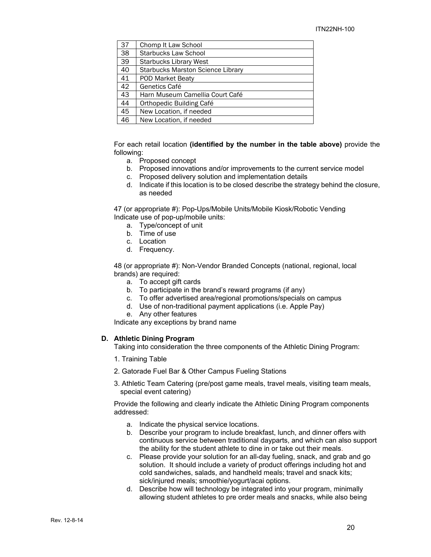| 37 | Chomp It Law School                      |
|----|------------------------------------------|
| 38 | <b>Starbucks Law School</b>              |
| 39 | <b>Starbucks Library West</b>            |
| 40 | <b>Starbucks Marston Science Library</b> |
| 41 | POD Market Beaty                         |
| 42 | Genetics Café                            |
| 43 | Harn Museum Camellia Court Café          |
| 44 | Orthopedic Building Café                 |
| 45 | New Location, if needed                  |
| 46 | New Location, if needed                  |

 For each retail location **(identified by the number in the table above)** provide the following:

- a. Proposed concept
- b. Proposed innovations and/or improvements to the current service model
- c. Proposed delivery solution and implementation details
- d. Indicate if this location is to be closed describe the strategy behind the closure, as needed

 47 (or appropriate #): Pop-Ups/Mobile Units/Mobile Kiosk/Robotic Vending Indicate use of pop-up/mobile units:

- a. Type/concept of unit
- b. Time of use
- c. Location
- d. Frequency.

48 (or appropriate #): Non-Vendor Branded Concepts (national, regional, local brands) are required:

- a. To accept gift cards
- b. To participate in the brand's reward programs (if any)
- c. To offer advertised area/regional promotions/specials on campus
- d. Use of non-traditional payment applications (i.e. Apple Pay)
- e. Any other features

Indicate any exceptions by brand name

#### **D. Athletic Dining Program**

Taking into consideration the three components of the Athletic Dining Program:

- 1. Training Table
- 2. Gatorade Fuel Bar & Other Campus Fueling Stations
- 3. Athletic Team Catering (pre/post game meals, travel meals, visiting team meals, special event catering)

Provide the following and clearly indicate the Athletic Dining Program components addressed:

- a. Indicate the physical service locations.
- b. Describe your program to include breakfast, lunch, and dinner offers with continuous service between traditional dayparts, and which can also support the ability for the student athlete to dine in or take out their meals.
- c. Please provide your solution for an all-day fueling, snack, and grab and go solution. It should include a variety of product offerings including hot and cold sandwiches, salads, and handheld meals; travel and snack kits; sick/injured meals; smoothie/vogurt/acai options.
- d. Describe how will technology be integrated into your program, minimally allowing student athletes to pre order meals and snacks, while also being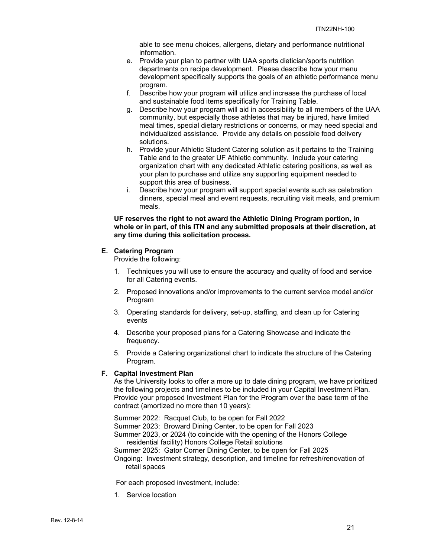able to see menu choices, allergens, dietary and performance nutritional information.

- e. Provide your plan to partner with UAA sports dietician/sports nutrition departments on recipe development. Please describe how your menu development specifically supports the goals of an athletic performance menu program.
- f. Describe how your program will utilize and increase the purchase of local and sustainable food items specifically for Training Table.
- g. Describe how your program will aid in accessibility to all members of the UAA community, but especially those athletes that may be injured, have limited meal times, special dietary restrictions or concerns, or may need special and individualized assistance. Provide any details on possible food delivery solutions.
- h. Provide your Athletic Student Catering solution as it pertains to the Training Table and to the greater UF Athletic community. Include your catering organization chart with any dedicated Athletic catering positions, as well as your plan to purchase and utilize any supporting equipment needed to support this area of business.
- i. Describe how your program will support special events such as celebration dinners, special meal and event requests, recruiting visit meals, and premium meals.

#### **UF reserves the right to not award the Athletic Dining Program portion, in whole or in part, of this ITN and any submitted proposals at their discretion, at any time during this solicitation process.**

### **E. Catering Program**

Provide the following:

- 1. Techniques you will use to ensure the accuracy and quality of food and service for all Catering events.
- 2. Proposed innovations and/or improvements to the current service model and/or Program
- 3. Operating standards for delivery, set-up, staffing, and clean up for Catering events
- 4. Describe your proposed plans for a Catering Showcase and indicate the frequency.
- 5. Provide a Catering organizational chart to indicate the structure of the Catering Program.

#### **F. Capital Investment Plan**

As the University looks to offer a more up to date dining program, we have prioritized the following projects and timelines to be included in your Capital Investment Plan. Provide your proposed Investment Plan for the Program over the base term of the contract (amortized no more than 10 years):

Summer 2022: Racquet Club, to be open for Fall 2022 Summer 2023: Broward Dining Center, to be open for Fall 2023 Summer 2023, or 2024 (to coincide with the opening of the Honors College residential facility) Honors College Retail solutions Summer 2025: Gator Corner Dining Center, to be open for Fall 2025 Ongoing: Investment strategy, description, and timeline for refresh/renovation of retail spaces

For each proposed investment, include:

1. Service location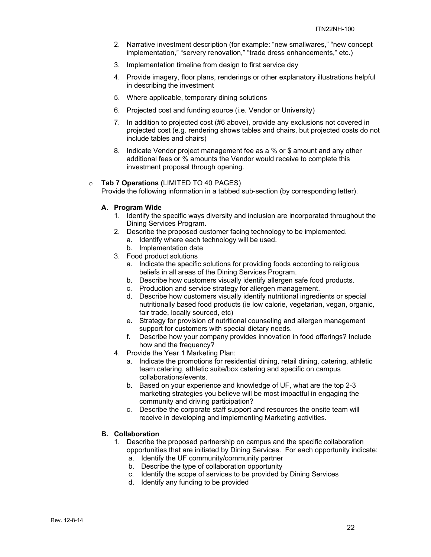- 2. Narrative investment description (for example: "new smallwares," "new concept implementation," "servery renovation," "trade dress enhancements," etc.)
- 3. Implementation timeline from design to first service day
- 4. Provide imagery, floor plans, renderings or other explanatory illustrations helpful in describing the investment
- 5. Where applicable, temporary dining solutions
- 6. Projected cost and funding source (i.e. Vendor or University)
- 7. In addition to projected cost (#6 above), provide any exclusions not covered in projected cost (e.g. rendering shows tables and chairs, but projected costs do not include tables and chairs)
- 8. Indicate Vendor project management fee as a % or \$ amount and any other additional fees or % amounts the Vendor would receive to complete this investment proposal through opening.

#### o **Tab 7 Operations (**LIMITED TO 40 PAGES)

Provide the following information in a tabbed sub-section (by corresponding letter).

#### **A. Program Wide**

- 1. Identify the specific ways diversity and inclusion are incorporated throughout the Dining Services Program.
- 2. Describe the proposed customer facing technology to be implemented.
	- a. Identify where each technology will be used.
	- b. Implementation date
- 3. Food product solutions
	- a. Indicate the specific solutions for providing foods according to religious beliefs in all areas of the Dining Services Program.
	- b. Describe how customers visually identify allergen safe food products.
	- c. Production and service strategy for allergen management.
	- d. Describe how customers visually identify nutritional ingredients or special nutritionally based food products (ie low calorie, vegetarian, vegan, organic, fair trade, locally sourced, etc)
	- e. Strategy for provision of nutritional counseling and allergen management support for customers with special dietary needs.
	- f. Describe how your company provides innovation in food offerings? Include how and the frequency?
- 4. Provide the Year 1 Marketing Plan:
	- a. Indicate the promotions for residential dining, retail dining, catering, athletic team catering, athletic suite/box catering and specific on campus collaborations/events.
	- b. Based on your experience and knowledge of UF, what are the top 2-3 marketing strategies you believe will be most impactful in engaging the community and driving participation?
	- c. Describe the corporate staff support and resources the onsite team will receive in developing and implementing Marketing activities.

## **B. Collaboration**

- 1. Describe the proposed partnership on campus and the specific collaboration opportunities that are initiated by Dining Services. For each opportunity indicate:
	- a. Identify the UF community/community partner
	- b. Describe the type of collaboration opportunity
	- c. Identify the scope of services to be provided by Dining Services
	- d. Identify any funding to be provided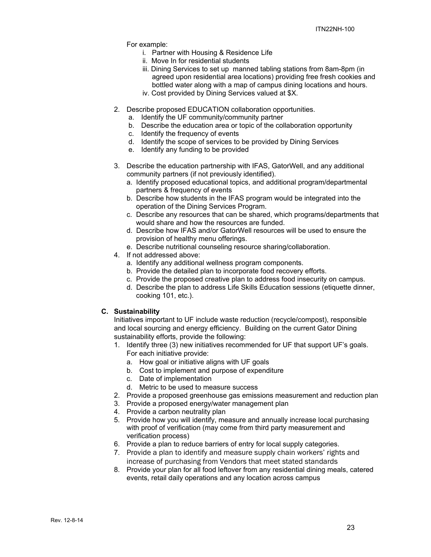For example:

- i. Partner with Housing & Residence Life
- ii. Move In for residential students
- iii. Dining Services to set up manned tabling stations from 8am-8pm (in agreed upon residential area locations) providing free fresh cookies and bottled water along with a map of campus dining locations and hours.
- iv. Cost provided by Dining Services valued at \$X.
- 2. Describe proposed EDUCATION collaboration opportunities.
	- a. Identify the UF community/community partner
	- b. Describe the education area or topic of the collaboration opportunity
	- c. Identify the frequency of events
	- d. Identify the scope of services to be provided by Dining Services
	- e. Identify any funding to be provided
- 3. Describe the education partnership with IFAS, GatorWell, and any additional community partners (if not previously identified).
	- a. Identify proposed educational topics, and additional program/departmental partners & frequency of events
	- b. Describe how students in the IFAS program would be integrated into the operation of the Dining Services Program.
	- c. Describe any resources that can be shared, which programs/departments that would share and how the resources are funded.
	- d. Describe how IFAS and/or GatorWell resources will be used to ensure the provision of healthy menu offerings.
	- e. Describe nutritional counseling resource sharing/collaboration.
- 4. If not addressed above:
	- a. Identify any additional wellness program components.
	- b. Provide the detailed plan to incorporate food recovery efforts.
	- c. Provide the proposed creative plan to address food insecurity on campus.
	- d. Describe the plan to address Life Skills Education sessions (etiquette dinner, cooking 101, etc.).

#### **C. Sustainability**

Initiatives important to UF include waste reduction (recycle/compost), responsible and local sourcing and energy efficiency. Building on the current Gator Dining sustainability efforts, provide the following:

- 1. Identify three (3) new initiatives recommended for UF that support UF's goals. For each initiative provide:
	- a. How goal or initiative aligns with UF goals
	- b. Cost to implement and purpose of expenditure
	- c. Date of implementation
	- d. Metric to be used to measure success
- 2. Provide a proposed greenhouse gas emissions measurement and reduction plan
- 3. Provide a proposed energy/water management plan
- 4. Provide a carbon neutrality plan
- 5. Provide how you will identify, measure and annually increase local purchasing with proof of verification (may come from third party measurement and verification process)
- 6. Provide a plan to reduce barriers of entry for local supply categories.
- 7. Provide a plan to identify and measure supply chain workers' rights and increase of purchasing from Vendors that meet stated standards
- 8. Provide your plan for all food leftover from any residential dining meals, catered events, retail daily operations and any location across campus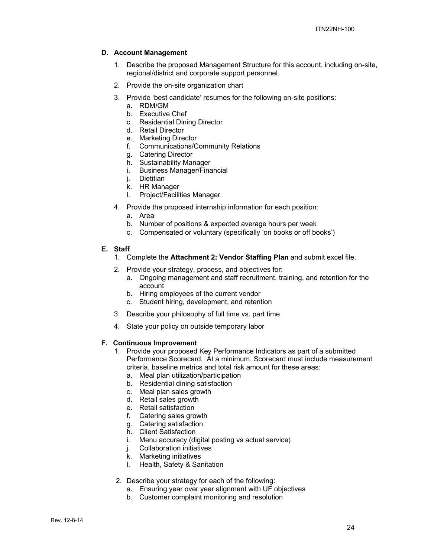#### **D. Account Management**

- 1. Describe the proposed Management Structure for this account, including on-site, regional/district and corporate support personnel.
- 2. Provide the on-site organization chart
- 3. Provide 'best candidate' resumes for the following on-site positions:
	- a. RDM/GM
	- b. Executive Chef
	- c. Residential Dining Director
	- d. Retail Director
	- e. Marketing Director
	- f. Communications/Community Relations
	- g. Catering Director
	- h. Sustainability Manager
	- i. Business Manager/Financial
	- j. Dietitian
	- k. HR Manager
	- l. Project/Facilities Manager
- 4. Provide the proposed internship information for each position:
	- a. Area
	- b. Number of positions & expected average hours per week
	- c. Compensated or voluntary (specifically 'on books or off books')

#### **E. Staff**

- 1. Complete the **Attachment 2: Vendor Staffing Plan** and submit excel file.
- 2. Provide your strategy, process, and objectives for:
	- a. Ongoing management and staff recruitment, training, and retention for the account
	- b. Hiring employees of the current vendor
	- c. Student hiring, development, and retention
- 3. Describe your philosophy of full time vs. part time
- 4. State your policy on outside temporary labor

#### **F. Continuous Improvement**

- 1. Provide your proposed Key Performance Indicators as part of a submitted Performance Scorecard. At a minimum, Scorecard must include measurement criteria, baseline metrics and total risk amount for these areas:
	- a. Meal plan utilization/participation
	- b. Residential dining satisfaction
	- c. Meal plan sales growth
	- d. Retail sales growth
	- e. Retail satisfaction
	- f. Catering sales growth
	- g. Catering satisfaction
	- h. Client Satisfaction
	- i. Menu accuracy (digital posting vs actual service)
	- j. Collaboration initiatives
	- k. Marketing initiatives
	- l. Health, Safety & Sanitation
- 2. Describe your strategy for each of the following:
	- a. Ensuring year over year alignment with UF objectives
	- b. Customer complaint monitoring and resolution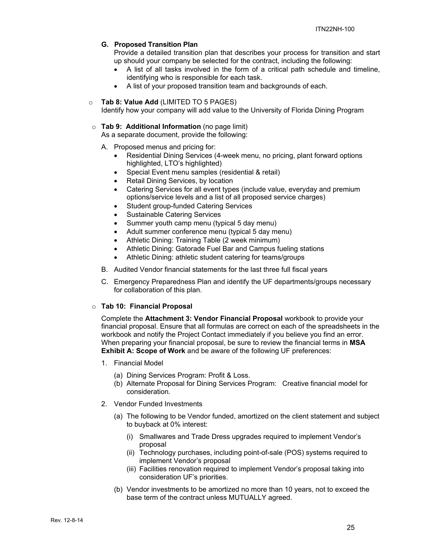#### **G. Proposed Transition Plan**

Provide a detailed transition plan that describes your process for transition and start up should your company be selected for the contract, including the following:

- A list of all tasks involved in the form of a critical path schedule and timeline, identifying who is responsible for each task.
- A list of your proposed transition team and backgrounds of each.

#### o **Tab 8: Value Add** (LIMITED TO 5 PAGES)

Identify how your company will add value to the University of Florida Dining Program

#### o **Tab 9: Additional Information** (no page limit)

As a separate document, provide the following:

- A. Proposed menus and pricing for:
	- Residential Dining Services (4-week menu, no pricing, plant forward options highlighted, LTO's highlighted)
	- Special Event menu samples (residential & retail)
	- Retail Dining Services, by location
	- Catering Services for all event types (include value, everyday and premium options/service levels and a list of all proposed service charges)
	- Student group-funded Catering Services
	- Sustainable Catering Services
	- Summer youth camp menu (typical 5 day menu)
	- Adult summer conference menu (typical 5 day menu)
	- Athletic Dining: Training Table (2 week minimum)
	- Athletic Dining: Gatorade Fuel Bar and Campus fueling stations
	- Athletic Dining: athletic student catering for teams/groups
- B. Audited Vendor financial statements for the last three full fiscal years
- C. Emergency Preparedness Plan and identify the UF departments/groups necessary for collaboration of this plan.

#### o **Tab 10: Financial Proposal**

Complete the **Attachment 3: Vendor Financial Proposal** workbook to provide your financial proposal. Ensure that all formulas are correct on each of the spreadsheets in the workbook and notify the Project Contact immediately if you believe you find an error. When preparing your financial proposal, be sure to review the financial terms in **MSA Exhibit A: Scope of Work** and be aware of the following UF preferences:

- 1. Financial Model
	- (a) Dining Services Program: Profit & Loss.
	- (b) Alternate Proposal for Dining Services Program: Creative financial model for consideration.
- 2. Vendor Funded Investments
	- (a) The following to be Vendor funded, amortized on the client statement and subject to buyback at 0% interest:
		- (i) Smallwares and Trade Dress upgrades required to implement Vendor's proposal
		- (ii) Technology purchases, including point-of-sale (POS) systems required to implement Vendor's proposal
		- (iii) Facilities renovation required to implement Vendor's proposal taking into consideration UF's priorities.
	- (b) Vendor investments to be amortized no more than 10 years, not to exceed the base term of the contract unless MUTUALLY agreed.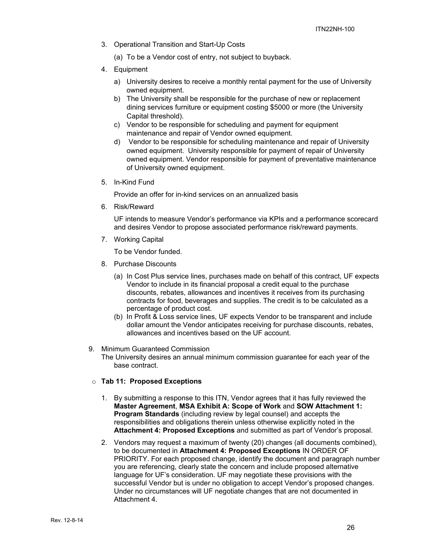- 3. Operational Transition and Start-Up Costs
	- (a) To be a Vendor cost of entry, not subject to buyback.
- 4. Equipment
	- a) University desires to receive a monthly rental payment for the use of University owned equipment.
	- b) The University shall be responsible for the purchase of new or replacement dining services furniture or equipment costing \$5000 or more (the University Capital threshold).
	- c) Vendor to be responsible for scheduling and payment for equipment maintenance and repair of Vendor owned equipment.
	- d) Vendor to be responsible for scheduling maintenance and repair of University owned equipment. University responsible for payment of repair of University owned equipment. Vendor responsible for payment of preventative maintenance of University owned equipment.
- 5. In-Kind Fund

Provide an offer for in-kind services on an annualized basis

6. Risk/Reward

UF intends to measure Vendor's performance via KPIs and a performance scorecard and desires Vendor to propose associated performance risk/reward payments.

7. Working Capital

To be Vendor funded.

- 8. Purchase Discounts
	- (a) In Cost Plus service lines, purchases made on behalf of this contract, UF expects Vendor to include in its financial proposal a credit equal to the purchase discounts, rebates, allowances and incentives it receives from its purchasing contracts for food, beverages and supplies. The credit is to be calculated as a percentage of product cost.
	- (b) In Profit & Loss service lines, UF expects Vendor to be transparent and include dollar amount the Vendor anticipates receiving for purchase discounts, rebates, allowances and incentives based on the UF account.
- 9. Minimum Guaranteed Commission
	- The University desires an annual minimum commission guarantee for each year of the base contract.
- o **Tab 11: Proposed Exceptions** 
	- 1. By submitting a response to this ITN, Vendor agrees that it has fully reviewed the **Master Agreement**, **MSA Exhibit A: Scope of Work** and **SOW Attachment 1: Program Standards** (including review by legal counsel) and accepts the responsibilities and obligations therein unless otherwise explicitly noted in the **Attachment 4: Proposed Exceptions** and submitted as part of Vendor's proposal.
	- 2. Vendors may request a maximum of twenty (20) changes (all documents combined), to be documented in **Attachment 4: Proposed Exceptions** IN ORDER OF PRIORITY. For each proposed change, identify the document and paragraph number you are referencing, clearly state the concern and include proposed alternative language for UF's consideration. UF may negotiate these provisions with the successful Vendor but is under no obligation to accept Vendor's proposed changes. Under no circumstances will UF negotiate changes that are not documented in Attachment 4.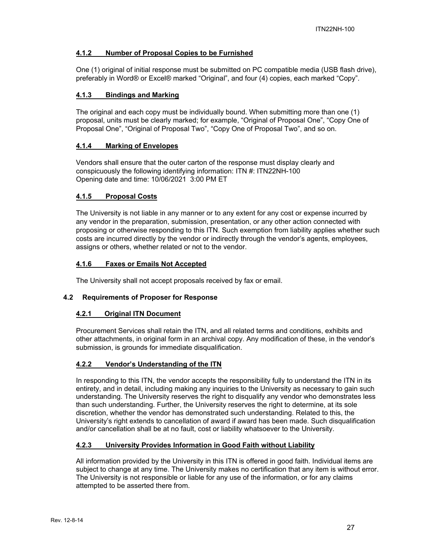## **4.1.2 Number of Proposal Copies to be Furnished**

One (1) original of initial response must be submitted on PC compatible media (USB flash drive), preferably in Word® or Excel® marked "Original", and four (4) copies, each marked "Copy".

## **4.1.3 Bindings and Marking**

The original and each copy must be individually bound. When submitting more than one (1) proposal, units must be clearly marked; for example, "Original of Proposal One", "Copy One of Proposal One", "Original of Proposal Two", "Copy One of Proposal Two", and so on.

## **4.1.4 Marking of Envelopes**

Vendors shall ensure that the outer carton of the response must display clearly and conspicuously the following identifying information: ITN #: ITN22NH-100 Opening date and time: 10/06/2021 3:00 PM ET

## **4.1.5 Proposal Costs**

The University is not liable in any manner or to any extent for any cost or expense incurred by any vendor in the preparation, submission, presentation, or any other action connected with proposing or otherwise responding to this ITN. Such exemption from liability applies whether such costs are incurred directly by the vendor or indirectly through the vendor's agents, employees, assigns or others, whether related or not to the vendor.

## **4.1.6 Faxes or Emails Not Accepted**

The University shall not accept proposals received by fax or email.

## **4.2 Requirements of Proposer for Response**

#### **4.2.1 Original ITN Document**

Procurement Services shall retain the ITN, and all related terms and conditions, exhibits and other attachments, in original form in an archival copy. Any modification of these, in the vendor's submission, is grounds for immediate disqualification.

## **4.2.2 Vendor's Understanding of the ITN**

In responding to this ITN, the vendor accepts the responsibility fully to understand the ITN in its entirety, and in detail, including making any inquiries to the University as necessary to gain such understanding. The University reserves the right to disqualify any vendor who demonstrates less than such understanding. Further, the University reserves the right to determine, at its sole discretion, whether the vendor has demonstrated such understanding. Related to this, the University's right extends to cancellation of award if award has been made. Such disqualification and/or cancellation shall be at no fault, cost or liability whatsoever to the University.

#### **4.2.3 University Provides Information in Good Faith without Liability**

All information provided by the University in this ITN is offered in good faith. Individual items are subject to change at any time. The University makes no certification that any item is without error. The University is not responsible or liable for any use of the information, or for any claims attempted to be asserted there from.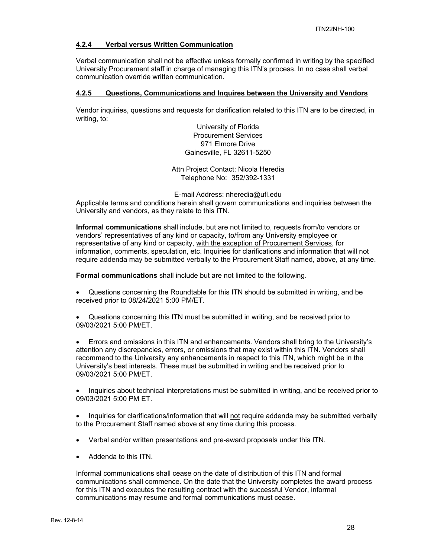#### **4.2.4 Verbal versus Written Communication**

Verbal communication shall not be effective unless formally confirmed in writing by the specified University Procurement staff in charge of managing this ITN's process. In no case shall verbal communication override written communication.

#### **4.2.5 Questions, Communications and Inquires between the University and Vendors**

Vendor inquiries, questions and requests for clarification related to this ITN are to be directed, in writing, to:

> University of Florida Procurement Services 971 Elmore Drive Gainesville, FL 32611-5250

Attn Project Contact: Nicola Heredia Telephone No: 352/392-1331

E-mail Address: nheredia@ufl.edu

Applicable terms and conditions herein shall govern communications and inquiries between the University and vendors, as they relate to this ITN.

**Informal communications** shall include, but are not limited to, requests from/to vendors or vendors' representatives of any kind or capacity, to/from any University employee or representative of any kind or capacity, with the exception of Procurement Services, for information, comments, speculation, etc. Inquiries for clarifications and information that will not require addenda may be submitted verbally to the Procurement Staff named, above, at any time.

**Formal communications** shall include but are not limited to the following.

- Questions concerning the Roundtable for this ITN should be submitted in writing, and be received prior to 08/24/2021 5:00 PM/ET.
- Questions concerning this ITN must be submitted in writing, and be received prior to 09/03/2021 5:00 PM/ET.

 Errors and omissions in this ITN and enhancements. Vendors shall bring to the University's attention any discrepancies, errors, or omissions that may exist within this ITN. Vendors shall recommend to the University any enhancements in respect to this ITN, which might be in the University's best interests. These must be submitted in writing and be received prior to 09/03/2021 5:00 PM/ET.

 Inquiries about technical interpretations must be submitted in writing, and be received prior to 09/03/2021 5:00 PM ET.

 Inquiries for clarifications/information that will not require addenda may be submitted verbally to the Procurement Staff named above at any time during this process.

- Verbal and/or written presentations and pre-award proposals under this ITN.
- Addenda to this ITN.

Informal communications shall cease on the date of distribution of this ITN and formal communications shall commence. On the date that the University completes the award process for this ITN and executes the resulting contract with the successful Vendor, informal communications may resume and formal communications must cease.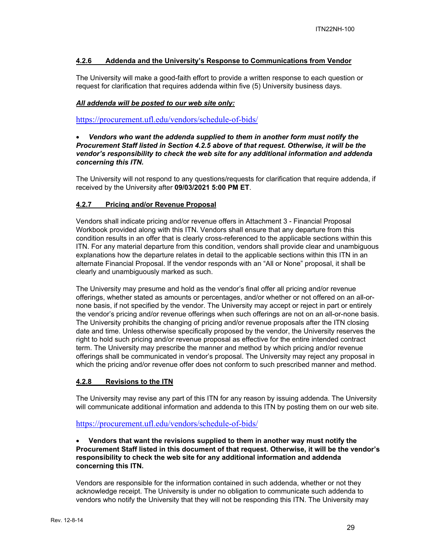### **4.2.6 Addenda and the University's Response to Communications from Vendor**

The University will make a good-faith effort to provide a written response to each question or request for clarification that requires addenda within five (5) University business days.

#### *All addenda will be posted to our web site only:*

https://procurement.ufl.edu/vendors/schedule-of-bids/

#### *Vendors who want the addenda supplied to them in another form must notify the Procurement Staff listed in Section 4.2.5 above of that request. Otherwise, it will be the vendor's responsibility to check the web site for any additional information and addenda concerning this ITN.*

The University will not respond to any questions/requests for clarification that require addenda, if received by the University after **09/03/2021 5:00 PM ET**.

#### **4.2.7 Pricing and/or Revenue Proposal**

Vendors shall indicate pricing and/or revenue offers in Attachment 3 - Financial Proposal Workbook provided along with this ITN. Vendors shall ensure that any departure from this condition results in an offer that is clearly cross-referenced to the applicable sections within this ITN. For any material departure from this condition, vendors shall provide clear and unambiguous explanations how the departure relates in detail to the applicable sections within this ITN in an alternate Financial Proposal. If the vendor responds with an "All or None" proposal, it shall be clearly and unambiguously marked as such.

The University may presume and hold as the vendor's final offer all pricing and/or revenue offerings, whether stated as amounts or percentages, and/or whether or not offered on an all-ornone basis, if not specified by the vendor. The University may accept or reject in part or entirely the vendor's pricing and/or revenue offerings when such offerings are not on an all-or-none basis. The University prohibits the changing of pricing and/or revenue proposals after the ITN closing date and time. Unless otherwise specifically proposed by the vendor, the University reserves the right to hold such pricing and/or revenue proposal as effective for the entire intended contract term. The University may prescribe the manner and method by which pricing and/or revenue offerings shall be communicated in vendor's proposal. The University may reject any proposal in which the pricing and/or revenue offer does not conform to such prescribed manner and method.

## **4.2.8 Revisions to the ITN**

The University may revise any part of this ITN for any reason by issuing addenda. The University will communicate additional information and addenda to this ITN by posting them on our web site.

#### https://procurement.ufl.edu/vendors/schedule-of-bids/

### **Vendors that want the revisions supplied to them in another way must notify the Procurement Staff listed in this document of that request. Otherwise, it will be the vendor's responsibility to check the web site for any additional information and addenda concerning this ITN.**

Vendors are responsible for the information contained in such addenda, whether or not they acknowledge receipt. The University is under no obligation to communicate such addenda to vendors who notify the University that they will not be responding this ITN. The University may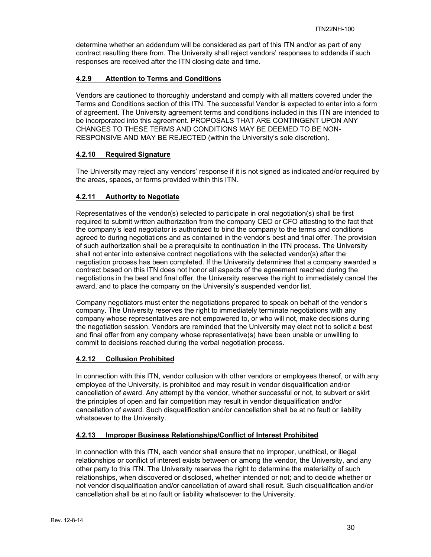determine whether an addendum will be considered as part of this ITN and/or as part of any contract resulting there from. The University shall reject vendors' responses to addenda if such responses are received after the ITN closing date and time.

## **4.2.9 Attention to Terms and Conditions**

Vendors are cautioned to thoroughly understand and comply with all matters covered under the Terms and Conditions section of this ITN. The successful Vendor is expected to enter into a form of agreement. The University agreement terms and conditions included in this ITN are intended to be incorporated into this agreement. PROPOSALS THAT ARE CONTINGENT UPON ANY CHANGES TO THESE TERMS AND CONDITIONS MAY BE DEEMED TO BE NON-RESPONSIVE AND MAY BE REJECTED (within the University's sole discretion).

## **4.2.10 Required Signature**

The University may reject any vendors' response if it is not signed as indicated and/or required by the areas, spaces, or forms provided within this ITN.

## **4.2.11 Authority to Negotiate**

Representatives of the vendor(s) selected to participate in oral negotiation(s) shall be first required to submit written authorization from the company CEO or CFO attesting to the fact that the company's lead negotiator is authorized to bind the company to the terms and conditions agreed to during negotiations and as contained in the vendor's best and final offer. The provision of such authorization shall be a prerequisite to continuation in the ITN process. The University shall not enter into extensive contract negotiations with the selected vendor(s) after the negotiation process has been completed. If the University determines that a company awarded a contract based on this ITN does not honor all aspects of the agreement reached during the negotiations in the best and final offer, the University reserves the right to immediately cancel the award, and to place the company on the University's suspended vendor list.

Company negotiators must enter the negotiations prepared to speak on behalf of the vendor's company. The University reserves the right to immediately terminate negotiations with any company whose representatives are not empowered to, or who will not, make decisions during the negotiation session. Vendors are reminded that the University may elect not to solicit a best and final offer from any company whose representative(s) have been unable or unwilling to commit to decisions reached during the verbal negotiation process.

## **4.2.12 Collusion Prohibited**

In connection with this ITN, vendor collusion with other vendors or employees thereof, or with any employee of the University, is prohibited and may result in vendor disqualification and/or cancellation of award. Any attempt by the vendor, whether successful or not, to subvert or skirt the principles of open and fair competition may result in vendor disqualification and/or cancellation of award. Such disqualification and/or cancellation shall be at no fault or liability whatsoever to the University.

## **4.2.13 Improper Business Relationships/Conflict of Interest Prohibited**

In connection with this ITN, each vendor shall ensure that no improper, unethical, or illegal relationships or conflict of interest exists between or among the vendor, the University, and any other party to this ITN. The University reserves the right to determine the materiality of such relationships, when discovered or disclosed, whether intended or not; and to decide whether or not vendor disqualification and/or cancellation of award shall result. Such disqualification and/or cancellation shall be at no fault or liability whatsoever to the University.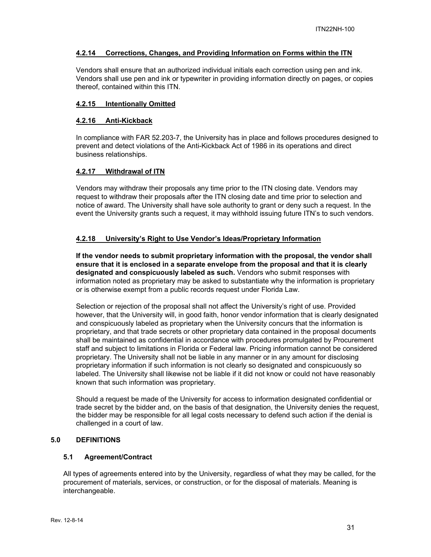#### **4.2.14 Corrections, Changes, and Providing Information on Forms within the ITN**

Vendors shall ensure that an authorized individual initials each correction using pen and ink. Vendors shall use pen and ink or typewriter in providing information directly on pages, or copies thereof, contained within this ITN.

### **4.2.15 Intentionally Omitted**

#### **4.2.16 Anti-Kickback**

In compliance with FAR 52.203-7, the University has in place and follows procedures designed to prevent and detect violations of the Anti-Kickback Act of 1986 in its operations and direct business relationships.

### **4.2.17 Withdrawal of ITN**

Vendors may withdraw their proposals any time prior to the ITN closing date. Vendors may request to withdraw their proposals after the ITN closing date and time prior to selection and notice of award. The University shall have sole authority to grant or deny such a request. In the event the University grants such a request, it may withhold issuing future ITN's to such vendors.

### **4.2.18 University's Right to Use Vendor's Ideas/Proprietary Information**

**If the vendor needs to submit proprietary information with the proposal, the vendor shall ensure that it is enclosed in a separate envelope from the proposal and that it is clearly designated and conspicuously labeled as such.** Vendors who submit responses with information noted as proprietary may be asked to substantiate why the information is proprietary or is otherwise exempt from a public records request under Florida Law.

Selection or rejection of the proposal shall not affect the University's right of use. Provided however, that the University will, in good faith, honor vendor information that is clearly designated and conspicuously labeled as proprietary when the University concurs that the information is proprietary, and that trade secrets or other proprietary data contained in the proposal documents shall be maintained as confidential in accordance with procedures promulgated by Procurement staff and subject to limitations in Florida or Federal law. Pricing information cannot be considered proprietary. The University shall not be liable in any manner or in any amount for disclosing proprietary information if such information is not clearly so designated and conspicuously so labeled. The University shall likewise not be liable if it did not know or could not have reasonably known that such information was proprietary.

Should a request be made of the University for access to information designated confidential or trade secret by the bidder and, on the basis of that designation, the University denies the request, the bidder may be responsible for all legal costs necessary to defend such action if the denial is challenged in a court of law.

#### **5.0 DEFINITIONS**

### **5.1 Agreement/Contract**

All types of agreements entered into by the University, regardless of what they may be called, for the procurement of materials, services, or construction, or for the disposal of materials. Meaning is interchangeable.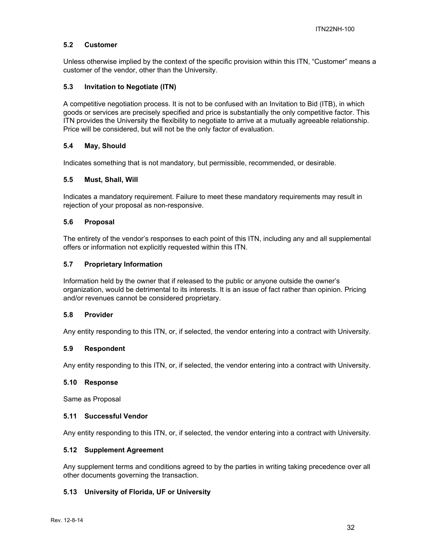#### **5.2 Customer**

Unless otherwise implied by the context of the specific provision within this ITN, "Customer" means a customer of the vendor, other than the University.

#### **5.3 Invitation to Negotiate (ITN)**

A competitive negotiation process. It is not to be confused with an Invitation to Bid (ITB), in which goods or services are precisely specified and price is substantially the only competitive factor. This ITN provides the University the flexibility to negotiate to arrive at a mutually agreeable relationship. Price will be considered, but will not be the only factor of evaluation.

### **5.4 May, Should**

Indicates something that is not mandatory, but permissible, recommended, or desirable.

#### **5.5 Must, Shall, Will**

Indicates a mandatory requirement. Failure to meet these mandatory requirements may result in rejection of your proposal as non-responsive.

### **5.6 Proposal**

The entirety of the vendor's responses to each point of this ITN, including any and all supplemental offers or information not explicitly requested within this ITN.

#### **5.7 Proprietary Information**

Information held by the owner that if released to the public or anyone outside the owner's organization, would be detrimental to its interests. It is an issue of fact rather than opinion. Pricing and/or revenues cannot be considered proprietary.

#### **5.8 Provider**

Any entity responding to this ITN, or, if selected, the vendor entering into a contract with University.

#### **5.9 Respondent**

Any entity responding to this ITN, or, if selected, the vendor entering into a contract with University.

#### **5.10 Response**

Same as Proposal

#### **5.11 Successful Vendor**

Any entity responding to this ITN, or, if selected, the vendor entering into a contract with University.

#### **5.12 Supplement Agreement**

Any supplement terms and conditions agreed to by the parties in writing taking precedence over all other documents governing the transaction.

#### **5.13 University of Florida, UF or University**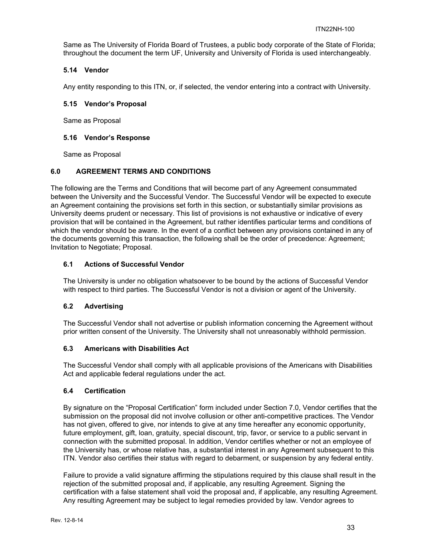Same as The University of Florida Board of Trustees, a public body corporate of the State of Florida; throughout the document the term UF, University and University of Florida is used interchangeably.

## **5.14 Vendor**

Any entity responding to this ITN, or, if selected, the vendor entering into a contract with University.

## **5.15 Vendor's Proposal**

Same as Proposal

## **5.16 Vendor's Response**

Same as Proposal

## **6.0 AGREEMENT TERMS AND CONDITIONS**

The following are the Terms and Conditions that will become part of any Agreement consummated between the University and the Successful Vendor. The Successful Vendor will be expected to execute an Agreement containing the provisions set forth in this section, or substantially similar provisions as University deems prudent or necessary. This list of provisions is not exhaustive or indicative of every provision that will be contained in the Agreement, but rather identifies particular terms and conditions of which the vendor should be aware. In the event of a conflict between any provisions contained in any of the documents governing this transaction, the following shall be the order of precedence: Agreement; Invitation to Negotiate; Proposal.

## **6.1 Actions of Successful Vendor**

The University is under no obligation whatsoever to be bound by the actions of Successful Vendor with respect to third parties. The Successful Vendor is not a division or agent of the University.

## **6.2 Advertising**

The Successful Vendor shall not advertise or publish information concerning the Agreement without prior written consent of the University. The University shall not unreasonably withhold permission.

## **6.3 Americans with Disabilities Act**

The Successful Vendor shall comply with all applicable provisions of the Americans with Disabilities Act and applicable federal regulations under the act.

## **6.4 Certification**

By signature on the "Proposal Certification" form included under Section 7.0, Vendor certifies that the submission on the proposal did not involve collusion or other anti-competitive practices. The Vendor has not given, offered to give, nor intends to give at any time hereafter any economic opportunity, future employment, gift, loan, gratuity, special discount, trip, favor, or service to a public servant in connection with the submitted proposal. In addition, Vendor certifies whether or not an employee of the University has, or whose relative has, a substantial interest in any Agreement subsequent to this ITN. Vendor also certifies their status with regard to debarment, or suspension by any federal entity.

Failure to provide a valid signature affirming the stipulations required by this clause shall result in the rejection of the submitted proposal and, if applicable, any resulting Agreement. Signing the certification with a false statement shall void the proposal and, if applicable, any resulting Agreement. Any resulting Agreement may be subject to legal remedies provided by law. Vendor agrees to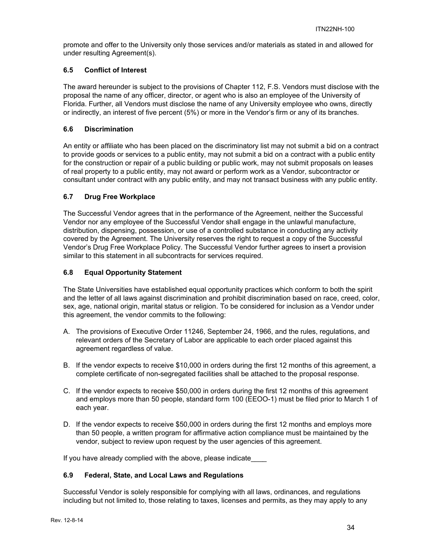promote and offer to the University only those services and/or materials as stated in and allowed for under resulting Agreement(s).

## **6.5 Conflict of Interest**

The award hereunder is subject to the provisions of Chapter 112, F.S. Vendors must disclose with the proposal the name of any officer, director, or agent who is also an employee of the University of Florida. Further, all Vendors must disclose the name of any University employee who owns, directly or indirectly, an interest of five percent (5%) or more in the Vendor's firm or any of its branches.

## **6.6 Discrimination**

An entity or affiliate who has been placed on the discriminatory list may not submit a bid on a contract to provide goods or services to a public entity, may not submit a bid on a contract with a public entity for the construction or repair of a public building or public work, may not submit proposals on leases of real property to a public entity, may not award or perform work as a Vendor, subcontractor or consultant under contract with any public entity, and may not transact business with any public entity.

## **6.7 Drug Free Workplace**

The Successful Vendor agrees that in the performance of the Agreement, neither the Successful Vendor nor any employee of the Successful Vendor shall engage in the unlawful manufacture, distribution, dispensing, possession, or use of a controlled substance in conducting any activity covered by the Agreement. The University reserves the right to request a copy of the Successful Vendor's Drug Free Workplace Policy. The Successful Vendor further agrees to insert a provision similar to this statement in all subcontracts for services required.

### **6.8 Equal Opportunity Statement**

The State Universities have established equal opportunity practices which conform to both the spirit and the letter of all laws against discrimination and prohibit discrimination based on race, creed, color, sex, age, national origin, marital status or religion. To be considered for inclusion as a Vendor under this agreement, the vendor commits to the following:

- A. The provisions of Executive Order 11246, September 24, 1966, and the rules, regulations, and relevant orders of the Secretary of Labor are applicable to each order placed against this agreement regardless of value.
- B. If the vendor expects to receive \$10,000 in orders during the first 12 months of this agreement, a complete certificate of non-segregated facilities shall be attached to the proposal response.
- C. If the vendor expects to receive \$50,000 in orders during the first 12 months of this agreement and employs more than 50 people, standard form 100 (EEOO-1) must be filed prior to March 1 of each year.
- D. If the vendor expects to receive \$50,000 in orders during the first 12 months and employs more than 50 people, a written program for affirmative action compliance must be maintained by the vendor, subject to review upon request by the user agencies of this agreement.

If you have already complied with the above, please indicate

## **6.9 Federal, State, and Local Laws and Regulations**

Successful Vendor is solely responsible for complying with all laws, ordinances, and regulations including but not limited to, those relating to taxes, licenses and permits, as they may apply to any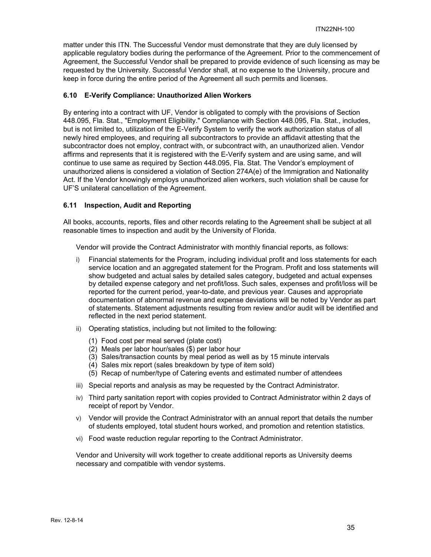matter under this ITN. The Successful Vendor must demonstrate that they are duly licensed by applicable regulatory bodies during the performance of the Agreement. Prior to the commencement of Agreement, the Successful Vendor shall be prepared to provide evidence of such licensing as may be requested by the University. Successful Vendor shall, at no expense to the University, procure and keep in force during the entire period of the Agreement all such permits and licenses.

#### **6.10 E-Verify Compliance: Unauthorized Alien Workers**

By entering into a contract with UF, Vendor is obligated to comply with the provisions of Section 448.095, Fla. Stat., "Employment Eligibility." Compliance with Section 448.095, Fla. Stat., includes, but is not limited to, utilization of the E-Verify System to verify the work authorization status of all newly hired employees, and requiring all subcontractors to provide an affidavit attesting that the subcontractor does not employ, contract with, or subcontract with, an unauthorized alien. Vendor affirms and represents that it is registered with the E-Verify system and are using same, and will continue to use same as required by Section 448.095, Fla. Stat. The Vendor's employment of unauthorized aliens is considered a violation of Section 274A(e) of the Immigration and Nationality Act. If the Vendor knowingly employs unauthorized alien workers, such violation shall be cause for UF'S unilateral cancellation of the Agreement.

### **6.11 Inspection, Audit and Reporting**

All books, accounts, reports, files and other records relating to the Agreement shall be subject at all reasonable times to inspection and audit by the University of Florida.

Vendor will provide the Contract Administrator with monthly financial reports, as follows:

- i) Financial statements for the Program, including individual profit and loss statements for each service location and an aggregated statement for the Program. Profit and loss statements will show budgeted and actual sales by detailed sales category, budgeted and actual expenses by detailed expense category and net profit/loss. Such sales, expenses and profit/loss will be reported for the current period, year-to-date, and previous year. Causes and appropriate documentation of abnormal revenue and expense deviations will be noted by Vendor as part of statements. Statement adjustments resulting from review and/or audit will be identified and reflected in the next period statement.
- ii) Operating statistics, including but not limited to the following:
	- (1) Food cost per meal served (plate cost)
	- (2) Meals per labor hour/sales (\$) per labor hour
	- (3) Sales/transaction counts by meal period as well as by 15 minute intervals
	- (4) Sales mix report (sales breakdown by type of item sold)
	- (5) Recap of number/type of Catering events and estimated number of attendees
- iii) Special reports and analysis as may be requested by the Contract Administrator.
- iv) Third party sanitation report with copies provided to Contract Administrator within 2 days of receipt of report by Vendor.
- v) Vendor will provide the Contract Administrator with an annual report that details the number of students employed, total student hours worked, and promotion and retention statistics.
- vi) Food waste reduction regular reporting to the Contract Administrator.

Vendor and University will work together to create additional reports as University deems necessary and compatible with vendor systems.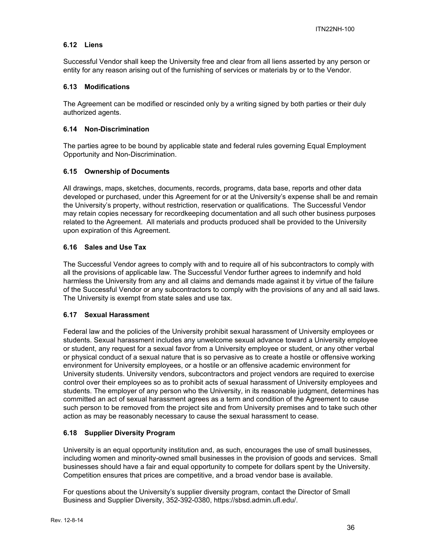## **6.12 Liens**

Successful Vendor shall keep the University free and clear from all liens asserted by any person or entity for any reason arising out of the furnishing of services or materials by or to the Vendor.

### **6.13 Modifications**

The Agreement can be modified or rescinded only by a writing signed by both parties or their duly authorized agents.

### **6.14 Non-Discrimination**

The parties agree to be bound by applicable state and federal rules governing Equal Employment Opportunity and Non-Discrimination.

#### **6.15 Ownership of Documents**

All drawings, maps, sketches, documents, records, programs, data base, reports and other data developed or purchased, under this Agreement for or at the University's expense shall be and remain the University's property, without restriction, reservation or qualifications. The Successful Vendor may retain copies necessary for recordkeeping documentation and all such other business purposes related to the Agreement. All materials and products produced shall be provided to the University upon expiration of this Agreement.

### **6.16 Sales and Use Tax**

The Successful Vendor agrees to comply with and to require all of his subcontractors to comply with all the provisions of applicable law. The Successful Vendor further agrees to indemnify and hold harmless the University from any and all claims and demands made against it by virtue of the failure of the Successful Vendor or any subcontractors to comply with the provisions of any and all said laws. The University is exempt from state sales and use tax.

#### **6.17 Sexual Harassment**

Federal law and the policies of the University prohibit sexual harassment of University employees or students. Sexual harassment includes any unwelcome sexual advance toward a University employee or student, any request for a sexual favor from a University employee or student, or any other verbal or physical conduct of a sexual nature that is so pervasive as to create a hostile or offensive working environment for University employees, or a hostile or an offensive academic environment for University students. University vendors, subcontractors and project vendors are required to exercise control over their employees so as to prohibit acts of sexual harassment of University employees and students. The employer of any person who the University, in its reasonable judgment, determines has committed an act of sexual harassment agrees as a term and condition of the Agreement to cause such person to be removed from the project site and from University premises and to take such other action as may be reasonably necessary to cause the sexual harassment to cease.

## **6.18 Supplier Diversity Program**

University is an equal opportunity institution and, as such, encourages the use of small businesses, including women and minority-owned small businesses in the provision of goods and services. Small businesses should have a fair and equal opportunity to compete for dollars spent by the University. Competition ensures that prices are competitive, and a broad vendor base is available.

For questions about the University's supplier diversity program, contact the Director of Small Business and Supplier Diversity, 352-392-0380, https://sbsd.admin.ufl.edu/.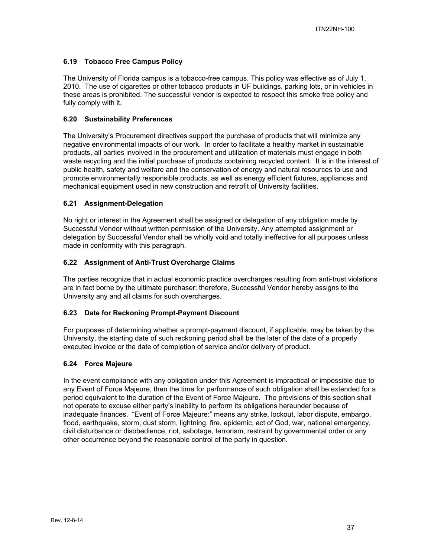## **6.19 Tobacco Free Campus Policy**

The University of Florida campus is a tobacco-free campus. This policy was effective as of July 1, 2010. The use of cigarettes or other tobacco products in UF buildings, parking lots, or in vehicles in these areas is prohibited. The successful vendor is expected to respect this smoke free policy and fully comply with it.

#### **6.20 Sustainability Preferences**

The University's Procurement directives support the purchase of products that will minimize any negative environmental impacts of our work. In order to facilitate a healthy market in sustainable products, all parties involved in the procurement and utilization of materials must engage in both waste recycling and the initial purchase of products containing recycled content. It is in the interest of public health, safety and welfare and the conservation of energy and natural resources to use and promote environmentally responsible products, as well as energy efficient fixtures, appliances and mechanical equipment used in new construction and retrofit of University facilities.

### **6.21 Assignment-Delegation**

No right or interest in the Agreement shall be assigned or delegation of any obligation made by Successful Vendor without written permission of the University. Any attempted assignment or delegation by Successful Vendor shall be wholly void and totally ineffective for all purposes unless made in conformity with this paragraph.

### **6.22 Assignment of Anti-Trust Overcharge Claims**

The parties recognize that in actual economic practice overcharges resulting from anti-trust violations are in fact borne by the ultimate purchaser; therefore, Successful Vendor hereby assigns to the University any and all claims for such overcharges.

#### **6.23 Date for Reckoning Prompt-Payment Discount**

For purposes of determining whether a prompt-payment discount, if applicable, may be taken by the University, the starting date of such reckoning period shall be the later of the date of a properly executed invoice or the date of completion of service and/or delivery of product.

#### **6.24 Force Majeure**

In the event compliance with any obligation under this Agreement is impractical or impossible due to any Event of Force Majeure, then the time for performance of such obligation shall be extended for a period equivalent to the duration of the Event of Force Majeure. The provisions of this section shall not operate to excuse either party's inability to perform its obligations hereunder because of inadequate finances. "Event of Force Majeure:" means any strike, lockout, labor dispute, embargo, flood, earthquake, storm, dust storm, lightning, fire, epidemic, act of God, war, national emergency, civil disturbance or disobedience, riot, sabotage, terrorism, restraint by governmental order or any other occurrence beyond the reasonable control of the party in question.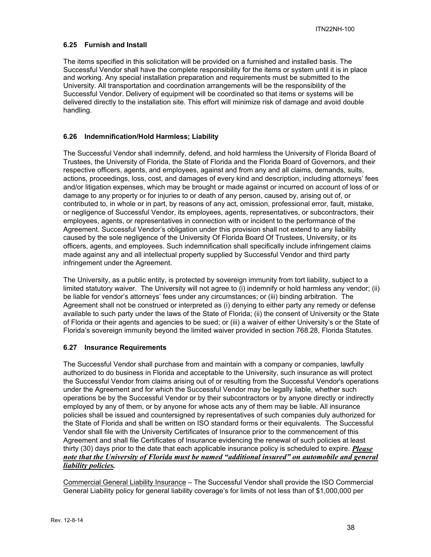## **6.25 Furnish and Install**

The items specified in this solicitation will be provided on a furnished and installed basis. The Successful Vendor shall have the complete responsibility for the items or system until it is in place and working. Any special installation preparation and requirements must be submitted to the University. All transportation and coordination arrangements will be the responsibility of the Successful Vendor. Delivery of equipment will be coordinated so that items or systems will be delivered directly to the installation site. This effort will minimize risk of damage and avoid double handling.

### **6.26 Indemnification/Hold Harmless; Liability**

The Successful Vendor shall indemnify, defend, and hold harmless the University of Florida Board of Trustees, the University of Florida, the State of Florida and the Florida Board of Governors, and their respective officers, agents, and employees, against and from any and all claims, demands, suits, actions, proceedings, loss, cost, and damages of every kind and description, including attorneys' fees and/or litigation expenses, which may be brought or made against or incurred on account of loss of or damage to any property or for injuries to or death of any person, caused by, arising out of, or contributed to, in whole or in part, by reasons of any act, omission, professional error, fault, mistake, or negligence of Successful Vendor, its employees, agents, representatives, or subcontractors, their employees, agents, or representatives in connection with or incident to the performance of the Agreement. Successful Vendor's obligation under this provision shall not extend to any liability caused by the sole negligence of the University Of Florida Board Of Trustees, University, or its officers, agents, and employees. Such indemnification shall specifically include infringement claims made against any and all intellectual property supplied by Successful Vendor and third party infringement under the Agreement.

The University, as a public entity, is protected by sovereign immunity from tort liability, subject to a limited statutory waiver. The University will not agree to (i) indemnify or hold harmless any vendor; (ii) be liable for vendor's attorneys' fees under any circumstances; or (iii) binding arbitration. The Agreement shall not be construed or interpreted as (i) denying to either party any remedy or defense available to such party under the laws of the State of Florida; (ii) the consent of University or the State of Florida or their agents and agencies to be sued; or (iii) a waiver of either University's or the State of Florida's sovereign immunity beyond the limited waiver provided in section 768.28, Florida Statutes.

#### **6.27 Insurance Requirements**

The Successful Vendor shall purchase from and maintain with a company or companies, lawfully authorized to do business in Florida and acceptable to the University, such insurance as will protect the Successful Vendor from claims arising out of or resulting from the Successful Vendor's operations under the Agreement and for which the Successful Vendor may be legally liable, whether such operations be by the Successful Vendor or by their subcontractors or by anyone directly or indirectly employed by any of them, or by anyone for whose acts any of them may be liable. All insurance policies shall be issued and countersigned by representatives of such companies duly authorized for the State of Florida and shall be written on ISO standard forms or their equivalents. The Successful Vendor shall file with the University Certificates of Insurance prior to the commencement of this Agreement and shall file Certificates of Insurance evidencing the renewal of such policies at least thirty (30) days prior to the date that each applicable insurance policy is scheduled to expire. *Please note that the University of Florida must be named "additional insured" on automobile and general liability policies.*

Commercial General Liability Insurance – The Successful Vendor shall provide the ISO Commercial General Liability policy for general liability coverage's for limits of not less than of \$1,000,000 per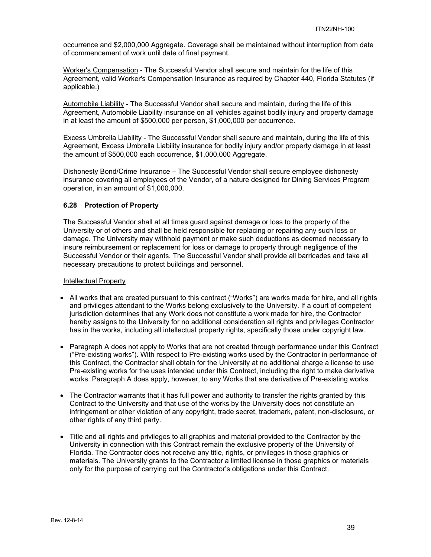occurrence and \$2,000,000 Aggregate. Coverage shall be maintained without interruption from date of commencement of work until date of final payment.

Worker's Compensation - The Successful Vendor shall secure and maintain for the life of this Agreement, valid Worker's Compensation Insurance as required by Chapter 440, Florida Statutes (if applicable.)

Automobile Liability - The Successful Vendor shall secure and maintain, during the life of this Agreement, Automobile Liability insurance on all vehicles against bodily injury and property damage in at least the amount of \$500,000 per person, \$1,000,000 per occurrence.

Excess Umbrella Liability - The Successful Vendor shall secure and maintain, during the life of this Agreement, Excess Umbrella Liability insurance for bodily injury and/or property damage in at least the amount of \$500,000 each occurrence, \$1,000,000 Aggregate.

Dishonesty Bond/Crime Insurance – The Successful Vendor shall secure employee dishonesty insurance covering all employees of the Vendor, of a nature designed for Dining Services Program operation, in an amount of \$1,000,000.

## **6.28 Protection of Property**

The Successful Vendor shall at all times guard against damage or loss to the property of the University or of others and shall be held responsible for replacing or repairing any such loss or damage. The University may withhold payment or make such deductions as deemed necessary to insure reimbursement or replacement for loss or damage to property through negligence of the Successful Vendor or their agents. The Successful Vendor shall provide all barricades and take all necessary precautions to protect buildings and personnel.

#### Intellectual Property

- All works that are created pursuant to this contract ("Works") are works made for hire, and all rights and privileges attendant to the Works belong exclusively to the University. If a court of competent jurisdiction determines that any Work does not constitute a work made for hire, the Contractor hereby assigns to the University for no additional consideration all rights and privileges Contractor has in the works, including all intellectual property rights, specifically those under copyright law.
- Paragraph A does not apply to Works that are not created through performance under this Contract ("Pre-existing works"). With respect to Pre-existing works used by the Contractor in performance of this Contract, the Contractor shall obtain for the University at no additional charge a license to use Pre-existing works for the uses intended under this Contract, including the right to make derivative works. Paragraph A does apply, however, to any Works that are derivative of Pre-existing works.
- The Contractor warrants that it has full power and authority to transfer the rights granted by this Contract to the University and that use of the works by the University does not constitute an infringement or other violation of any copyright, trade secret, trademark, patent, non-disclosure, or other rights of any third party.
- Title and all rights and privileges to all graphics and material provided to the Contractor by the University in connection with this Contract remain the exclusive property of the University of Florida. The Contractor does not receive any title, rights, or privileges in those graphics or materials. The University grants to the Contractor a limited license in those graphics or materials only for the purpose of carrying out the Contractor's obligations under this Contract.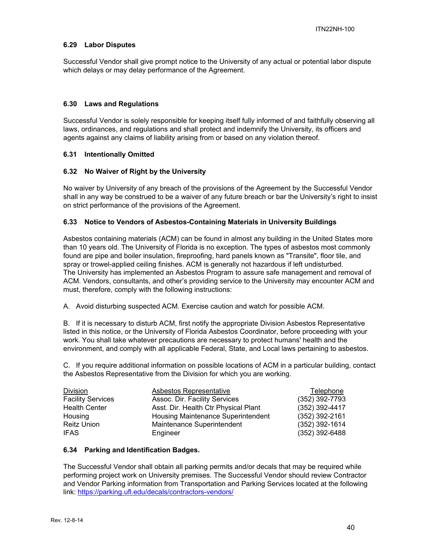#### **6.29 Labor Disputes**

Successful Vendor shall give prompt notice to the University of any actual or potential labor dispute which delays or may delay performance of the Agreement.

#### **6.30 Laws and Regulations**

Successful Vendor is solely responsible for keeping itself fully informed of and faithfully observing all laws, ordinances, and regulations and shall protect and indemnify the University, its officers and agents against any claims of liability arising from or based on any violation thereof.

#### **6.31 Intentionally Omitted**

#### **6.32 No Waiver of Right by the University**

No waiver by University of any breach of the provisions of the Agreement by the Successful Vendor shall in any way be construed to be a waiver of any future breach or bar the University's right to insist on strict performance of the provisions of the Agreement.

#### **6.33 Notice to Vendors of Asbestos-Containing Materials in University Buildings**

Asbestos containing materials (ACM) can be found in almost any building in the United States more than 10 years old. The University of Florida is no exception. The types of asbestos most commonly found are pipe and boiler insulation, fireproofing, hard panels known as "Transite", floor tile, and spray or trowel-applied ceiling finishes. ACM is generally not hazardous if left undisturbed. The University has implemented an Asbestos Program to assure safe management and removal of ACM. Vendors, consultants, and other's providing service to the University may encounter ACM and must, therefore, comply with the following instructions:

A. Avoid disturbing suspected ACM. Exercise caution and watch for possible ACM.

B. If it is necessary to disturb ACM, first notify the appropriate Division Asbestos Representative listed in this notice, or the University of Florida Asbestos Coordinator, before proceeding with your work. You shall take whatever precautions are necessary to protect humans' health and the environment, and comply with all applicable Federal, State, and Local laws pertaining to asbestos.

C. If you require additional information on possible locations of ACM in a particular building, contact the Asbestos Representative from the Division for which you are working.

| <b>Division</b>          | Asbestos Representative              | Telephone        |
|--------------------------|--------------------------------------|------------------|
| <b>Facility Services</b> | Assoc. Dir. Facility Services        | $(352)$ 392-7793 |
| <b>Health Center</b>     | Asst. Dir. Health Ctr Physical Plant | (352) 392-4417   |
| Housing                  | Housing Maintenance Superintendent   | (352) 392-2161   |
| <b>Reitz Union</b>       | Maintenance Superintendent           | $(352)$ 392-1614 |
| <b>IFAS</b>              | Engineer                             | (352) 392-6488   |

#### **6.34 Parking and Identification Badges.**

The Successful Vendor shall obtain all parking permits and/or decals that may be required while performing project work on University premises. The Successful Vendor should review Contractor and Vendor Parking information from Transportation and Parking Services located at the following link: https://parking.ufl.edu/decals/contractors-vendors/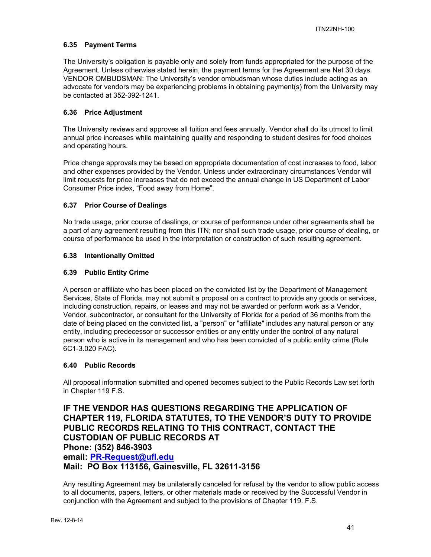## **6.35 Payment Terms**

The University's obligation is payable only and solely from funds appropriated for the purpose of the Agreement. Unless otherwise stated herein, the payment terms for the Agreement are Net 30 days. VENDOR OMBUDSMAN: The University's vendor ombudsman whose duties include acting as an advocate for vendors may be experiencing problems in obtaining payment(s) from the University may be contacted at 352-392-1241.

## **6.36 Price Adjustment**

The University reviews and approves all tuition and fees annually. Vendor shall do its utmost to limit annual price increases while maintaining quality and responding to student desires for food choices and operating hours.

Price change approvals may be based on appropriate documentation of cost increases to food, labor and other expenses provided by the Vendor. Unless under extraordinary circumstances Vendor will limit requests for price increases that do not exceed the annual change in US Department of Labor Consumer Price index, "Food away from Home".

## **6.37 Prior Course of Dealings**

No trade usage, prior course of dealings, or course of performance under other agreements shall be a part of any agreement resulting from this ITN; nor shall such trade usage, prior course of dealing, or course of performance be used in the interpretation or construction of such resulting agreement.

### **6.38 Intentionally Omitted**

### **6.39 Public Entity Crime**

A person or affiliate who has been placed on the convicted list by the Department of Management Services, State of Florida, may not submit a proposal on a contract to provide any goods or services, including construction, repairs, or leases and may not be awarded or perform work as a Vendor, Vendor, subcontractor, or consultant for the University of Florida for a period of 36 months from the date of being placed on the convicted list, a "person" or "affiliate" includes any natural person or any entity, including predecessor or successor entities or any entity under the control of any natural person who is active in its management and who has been convicted of a public entity crime (Rule 6C1-3.020 FAC).

#### **6.40 Public Records**

All proposal information submitted and opened becomes subject to the Public Records Law set forth in Chapter 119 F.S.

**IF THE VENDOR HAS QUESTIONS REGARDING THE APPLICATION OF CHAPTER 119, FLORIDA STATUTES, TO THE VENDOR'S DUTY TO PROVIDE PUBLIC RECORDS RELATING TO THIS CONTRACT, CONTACT THE CUSTODIAN OF PUBLIC RECORDS AT Phone: (352) 846-3903 email: PR-Request@ufl.edu Mail: PO Box 113156, Gainesville, FL 32611-3156**

Any resulting Agreement may be unilaterally canceled for refusal by the vendor to allow public access to all documents, papers, letters, or other materials made or received by the Successful Vendor in conjunction with the Agreement and subject to the provisions of Chapter 119. F.S.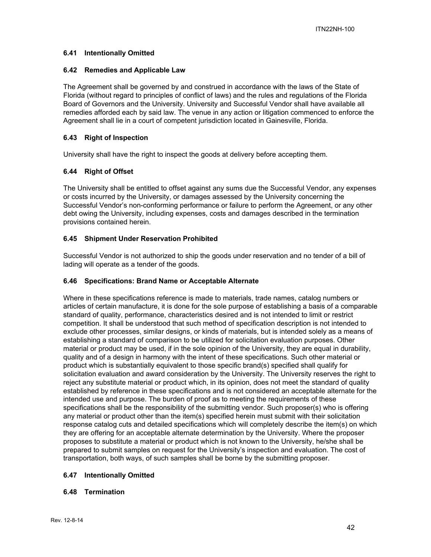## **6.41 Intentionally Omitted**

#### **6.42 Remedies and Applicable Law**

The Agreement shall be governed by and construed in accordance with the laws of the State of Florida (without regard to principles of conflict of laws) and the rules and regulations of the Florida Board of Governors and the University. University and Successful Vendor shall have available all remedies afforded each by said law. The venue in any action or litigation commenced to enforce the Agreement shall lie in a court of competent jurisdiction located in Gainesville, Florida.

#### **6.43 Right of Inspection**

University shall have the right to inspect the goods at delivery before accepting them.

### **6.44 Right of Offset**

The University shall be entitled to offset against any sums due the Successful Vendor, any expenses or costs incurred by the University, or damages assessed by the University concerning the Successful Vendor's non-conforming performance or failure to perform the Agreement, or any other debt owing the University, including expenses, costs and damages described in the termination provisions contained herein.

### **6.45 Shipment Under Reservation Prohibited**

Successful Vendor is not authorized to ship the goods under reservation and no tender of a bill of lading will operate as a tender of the goods.

#### **6.46 Specifications: Brand Name or Acceptable Alternate**

Where in these specifications reference is made to materials, trade names, catalog numbers or articles of certain manufacture, it is done for the sole purpose of establishing a basis of a comparable standard of quality, performance, characteristics desired and is not intended to limit or restrict competition. It shall be understood that such method of specification description is not intended to exclude other processes, similar designs, or kinds of materials, but is intended solely as a means of establishing a standard of comparison to be utilized for solicitation evaluation purposes. Other material or product may be used, if in the sole opinion of the University, they are equal in durability, quality and of a design in harmony with the intent of these specifications. Such other material or product which is substantially equivalent to those specific brand(s) specified shall qualify for solicitation evaluation and award consideration by the University. The University reserves the right to reject any substitute material or product which, in its opinion, does not meet the standard of quality established by reference in these specifications and is not considered an acceptable alternate for the intended use and purpose. The burden of proof as to meeting the requirements of these specifications shall be the responsibility of the submitting vendor. Such proposer(s) who is offering any material or product other than the item(s) specified herein must submit with their solicitation response catalog cuts and detailed specifications which will completely describe the item(s) on which they are offering for an acceptable alternate determination by the University. Where the proposer proposes to substitute a material or product which is not known to the University, he/she shall be prepared to submit samples on request for the University's inspection and evaluation. The cost of transportation, both ways, of such samples shall be borne by the submitting proposer.

#### **6.47 Intentionally Omitted**

#### **6.48 Termination**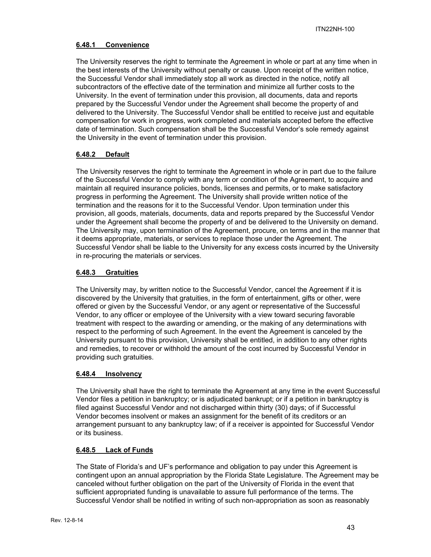## **6.48.1 Convenience**

The University reserves the right to terminate the Agreement in whole or part at any time when in the best interests of the University without penalty or cause. Upon receipt of the written notice, the Successful Vendor shall immediately stop all work as directed in the notice, notify all subcontractors of the effective date of the termination and minimize all further costs to the University. In the event of termination under this provision, all documents, data and reports prepared by the Successful Vendor under the Agreement shall become the property of and delivered to the University. The Successful Vendor shall be entitled to receive just and equitable compensation for work in progress, work completed and materials accepted before the effective date of termination. Such compensation shall be the Successful Vendor's sole remedy against the University in the event of termination under this provision.

## **6.48.2 Default**

The University reserves the right to terminate the Agreement in whole or in part due to the failure of the Successful Vendor to comply with any term or condition of the Agreement, to acquire and maintain all required insurance policies, bonds, licenses and permits, or to make satisfactory progress in performing the Agreement. The University shall provide written notice of the termination and the reasons for it to the Successful Vendor. Upon termination under this provision, all goods, materials, documents, data and reports prepared by the Successful Vendor under the Agreement shall become the property of and be delivered to the University on demand. The University may, upon termination of the Agreement, procure, on terms and in the manner that it deems appropriate, materials, or services to replace those under the Agreement. The Successful Vendor shall be liable to the University for any excess costs incurred by the University in re-procuring the materials or services.

## **6.48.3 Gratuities**

The University may, by written notice to the Successful Vendor, cancel the Agreement if it is discovered by the University that gratuities, in the form of entertainment, gifts or other, were offered or given by the Successful Vendor, or any agent or representative of the Successful Vendor, to any officer or employee of the University with a view toward securing favorable treatment with respect to the awarding or amending, or the making of any determinations with respect to the performing of such Agreement. In the event the Agreement is canceled by the University pursuant to this provision, University shall be entitled, in addition to any other rights and remedies, to recover or withhold the amount of the cost incurred by Successful Vendor in providing such gratuities.

#### **6.48.4 Insolvency**

The University shall have the right to terminate the Agreement at any time in the event Successful Vendor files a petition in bankruptcy; or is adjudicated bankrupt; or if a petition in bankruptcy is filed against Successful Vendor and not discharged within thirty (30) days; of if Successful Vendor becomes insolvent or makes an assignment for the benefit of its creditors or an arrangement pursuant to any bankruptcy law; of if a receiver is appointed for Successful Vendor or its business.

#### **6.48.5 Lack of Funds**

The State of Florida's and UF's performance and obligation to pay under this Agreement is contingent upon an annual appropriation by the Florida State Legislature. The Agreement may be canceled without further obligation on the part of the University of Florida in the event that sufficient appropriated funding is unavailable to assure full performance of the terms. The Successful Vendor shall be notified in writing of such non-appropriation as soon as reasonably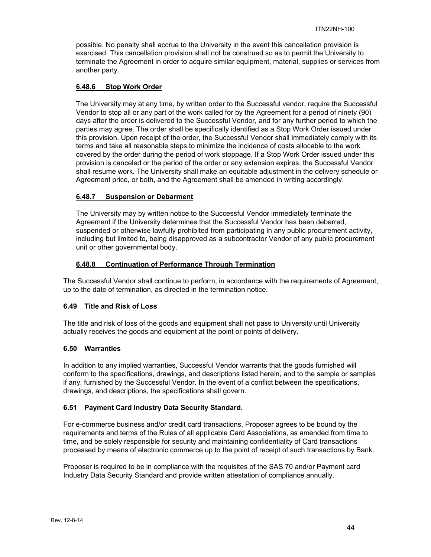possible. No penalty shall accrue to the University in the event this cancellation provision is exercised. This cancellation provision shall not be construed so as to permit the University to terminate the Agreement in order to acquire similar equipment, material, supplies or services from another party.

### **6.48.6 Stop Work Order**

The University may at any time, by written order to the Successful vendor, require the Successful Vendor to stop all or any part of the work called for by the Agreement for a period of ninety (90) days after the order is delivered to the Successful Vendor, and for any further period to which the parties may agree. The order shall be specifically identified as a Stop Work Order issued under this provision. Upon receipt of the order, the Successful Vendor shall immediately comply with its terms and take all reasonable steps to minimize the incidence of costs allocable to the work covered by the order during the period of work stoppage. If a Stop Work Order issued under this provision is canceled or the period of the order or any extension expires, the Successful Vendor shall resume work. The University shall make an equitable adjustment in the delivery schedule or Agreement price, or both, and the Agreement shall be amended in writing accordingly.

### **6.48.7 Suspension or Debarment**

The University may by written notice to the Successful Vendor immediately terminate the Agreement if the University determines that the Successful Vendor has been debarred, suspended or otherwise lawfully prohibited from participating in any public procurement activity, including but limited to, being disapproved as a subcontractor Vendor of any public procurement unit or other governmental body.

### **6.48.8 Continuation of Performance Through Termination**

The Successful Vendor shall continue to perform, in accordance with the requirements of Agreement, up to the date of termination, as directed in the termination notice.

#### **6.49 Title and Risk of Loss**

The title and risk of loss of the goods and equipment shall not pass to University until University actually receives the goods and equipment at the point or points of delivery.

#### **6.50 Warranties**

In addition to any implied warranties, Successful Vendor warrants that the goods furnished will conform to the specifications, drawings, and descriptions listed herein, and to the sample or samples if any, furnished by the Successful Vendor. In the event of a conflict between the specifications, drawings, and descriptions, the specifications shall govern.

## **6.51 Payment Card Industry Data Security Standard.**

For e-commerce business and/or credit card transactions, Proposer agrees to be bound by the requirements and terms of the Rules of all applicable Card Associations, as amended from time to time, and be solely responsible for security and maintaining confidentiality of Card transactions processed by means of electronic commerce up to the point of receipt of such transactions by Bank.

Proposer is required to be in compliance with the requisites of the SAS 70 and/or Payment card Industry Data Security Standard and provide written attestation of compliance annually.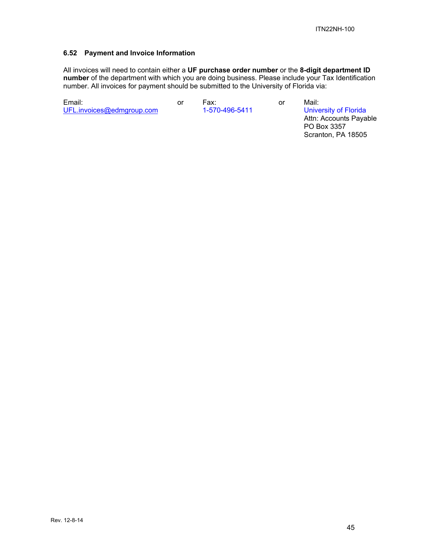#### **6.52 Payment and Invoice Information**

All invoices will need to contain either a **UF purchase order number** or the **8-digit department ID number** of the department with which you are doing business. Please include your Tax Identification number. All invoices for payment should be submitted to the University of Florida via:

Email: or Fax: or Mail: UFL.invoices@edmgroup.com 1-570-496-5411 University of Florida

 Attn: Accounts Payable PO Box 3357 Scranton, PA 18505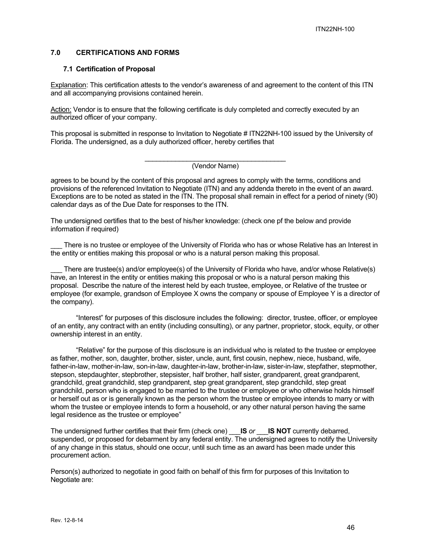#### **7.0 CERTIFICATIONS AND FORMS**

#### **7.1 Certification of Proposal**

Explanation: This certification attests to the vendor's awareness of and agreement to the content of this ITN and all accompanying provisions contained herein.

Action: Vendor is to ensure that the following certificate is duly completed and correctly executed by an authorized officer of your company.

This proposal is submitted in response to Invitation to Negotiate # ITN22NH-100 issued by the University of Florida. The undersigned, as a duly authorized officer, hereby certifies that

#### \_\_\_\_\_\_\_\_\_\_\_\_\_\_\_\_\_\_\_\_\_\_\_\_\_\_\_\_\_\_\_\_\_\_\_\_\_ (Vendor Name)

agrees to be bound by the content of this proposal and agrees to comply with the terms, conditions and provisions of the referenced Invitation to Negotiate (ITN) and any addenda thereto in the event of an award. Exceptions are to be noted as stated in the ITN. The proposal shall remain in effect for a period of ninety (90) calendar days as of the Due Date for responses to the ITN.

The undersigned certifies that to the best of his/her knowledge: (check one pf the below and provide information if required)

There is no trustee or employee of the University of Florida who has or whose Relative has an Interest in the entity or entities making this proposal or who is a natural person making this proposal.

There are trustee(s) and/or employee(s) of the University of Florida who have, and/or whose Relative(s) have, an Interest in the entity or entities making this proposal or who is a natural person making this proposal. Describe the nature of the interest held by each trustee, employee, or Relative of the trustee or employee (for example, grandson of Employee X owns the company or spouse of Employee Y is a director of the company).

"Interest" for purposes of this disclosure includes the following: director, trustee, officer, or employee of an entity, any contract with an entity (including consulting), or any partner, proprietor, stock, equity, or other ownership interest in an entity.

"Relative" for the purpose of this disclosure is an individual who is related to the trustee or employee as father, mother, son, daughter, brother, sister, uncle, aunt, first cousin, nephew, niece, husband, wife, father-in-law, mother-in-law, son-in-law, daughter-in-law, brother-in-law, sister-in-law, stepfather, stepmother, stepson, stepdaughter, stepbrother, stepsister, half brother, half sister, grandparent, great grandparent, grandchild, great grandchild, step grandparent, step great grandparent, step grandchild, step great grandchild, person who is engaged to be married to the trustee or employee or who otherwise holds himself or herself out as or is generally known as the person whom the trustee or employee intends to marry or with whom the trustee or employee intends to form a household, or any other natural person having the same legal residence as the trustee or employee"

The undersigned further certifies that their firm (check one) \_\_\_**IS** *or* \_\_\_**IS NOT** currently debarred, suspended, or proposed for debarment by any federal entity. The undersigned agrees to notify the University of any change in this status, should one occur, until such time as an award has been made under this procurement action.

Person(s) authorized to negotiate in good faith on behalf of this firm for purposes of this Invitation to Negotiate are: